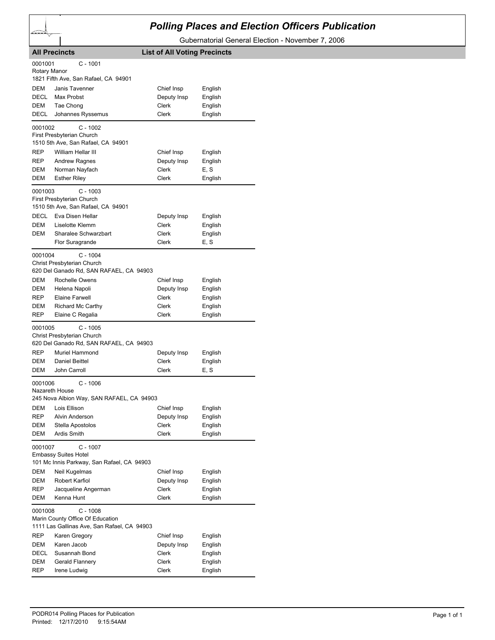## *Polling Places and Election Officers Publication*

Gubernatorial General Election - November 7, 2006

|                         | <b>All Precincts</b>                                                                          | <b>List of All Voting Precincts</b> |         |
|-------------------------|-----------------------------------------------------------------------------------------------|-------------------------------------|---------|
| 0001001<br>Rotary Manor | C - 1001                                                                                      |                                     |         |
|                         | 1821 Fifth Ave, San Rafael, CA 94901                                                          |                                     |         |
| DEM                     | Janis Tavenner                                                                                | Chief Insp                          | English |
| <b>DECL</b>             | Max Probst                                                                                    | Deputy Insp                         | English |
| DEM                     | Tae Chong                                                                                     | Clerk                               | English |
| DECL                    | Johannes Ryssemus                                                                             | Clerk                               | English |
| 0001002                 | $C - 1002$<br>First Presbyterian Church                                                       |                                     |         |
|                         | 1510 5th Ave, San Rafael, CA 94901                                                            |                                     |         |
| REP                     | William Hellar III                                                                            | Chief Insp                          | English |
| REP                     | <b>Andrew Ragnes</b>                                                                          | Deputy Insp                         | English |
| DEM                     | Norman Nayfach                                                                                | Clerk                               | E, S    |
| DEM                     | <b>Esther Riley</b>                                                                           | Clerk                               | English |
| 0001003                 | C - 1003                                                                                      |                                     |         |
|                         | First Presbyterian Church<br>1510 5th Ave, San Rafael, CA 94901                               |                                     |         |
| <b>DECL</b>             | Eva Disen Hellar                                                                              | Deputy Insp                         | English |
| DEM                     | Liselotte Klemm                                                                               | Clerk                               | English |
| DEM                     | Sharalee Schwarzbart                                                                          | Clerk                               | English |
|                         | Flor Suragrande                                                                               | Clerk                               | E, S    |
| 0001004                 | $C - 1004$<br>Christ Presbyterian Church<br>620 Del Ganado Rd, SAN RAFAEL, CA 94903           |                                     |         |
| DEM                     | Rochelle Owens                                                                                | Chief Insp                          | English |
| DEM                     | Helena Napoli                                                                                 | Deputy Insp                         | English |
| REP                     | Elaine Farwell                                                                                | Clerk                               | English |
| DEM                     | Richard Mc Carthy                                                                             | Clerk                               | English |
| <b>REP</b>              | Elaine C Regalia                                                                              | Clerk                               | English |
| 0001005                 | $C - 1005$<br>Christ Presbyterian Church                                                      |                                     |         |
|                         | 620 Del Ganado Rd, SAN RAFAEL, CA 94903                                                       |                                     |         |
| <b>REP</b>              | Muriel Hammond                                                                                | Deputy Insp                         | English |
| DEM                     | Daniel Beittel                                                                                | Clerk                               | English |
| DEM                     | John Carroll                                                                                  | Clerk                               | E, S    |
| 0001006                 | C - 1006<br>Nazareth House<br>245 Nova Albion Way, SAN RAFAEL, CA 94903                       |                                     |         |
| <b>DEM</b>              | Lois Ellison                                                                                  | Chief Insp                          | English |
| REP                     | Alvin Anderson                                                                                | Deputy Insp                         | English |
| DEM                     | Stella Apostolos                                                                              | Clerk                               | English |
| DEM                     | Ardis Smith                                                                                   | Clerk                               | English |
| 0001007                 | $C - 1007$<br><b>Embassy Suites Hotel</b><br>101 Mc Innis Parkway, San Rafael, CA 94903       |                                     |         |
| DEM                     | Neil Kugelmas                                                                                 | Chief Insp                          | English |
| DEM                     | Robert Karfiol                                                                                | Deputy Insp                         | English |
| REP                     | Jacqueline Angerman                                                                           | <b>Clerk</b>                        | English |
| DEM                     | Kenna Hunt                                                                                    | Clerk                               | English |
| 0001008                 | $C - 1008$<br>Marin County Office Of Education<br>1111 Las Gallinas Ave, San Rafael, CA 94903 |                                     |         |
| <b>REP</b>              | Karen Gregory                                                                                 | Chief Insp                          | English |
| DEM                     | Karen Jacob                                                                                   | Deputy Insp                         | English |
| DECL                    | Susannah Bond                                                                                 | Clerk                               | English |
| DEM                     | Gerald Flannery                                                                               | Clerk                               | English |
| REP                     | Irene Ludwig                                                                                  | Clerk                               | English |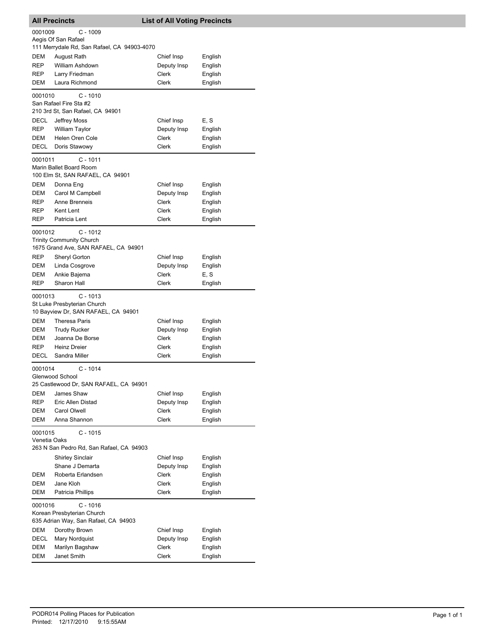|                                                                                   | <b>All Precincts</b>                                                                                              | <b>List of All Voting Precincts</b>                |                                          |  |
|-----------------------------------------------------------------------------------|-------------------------------------------------------------------------------------------------------------------|----------------------------------------------------|------------------------------------------|--|
| 0001009                                                                           | $C - 1009$<br>Aegis Of San Rafael                                                                                 |                                                    |                                          |  |
| <b>DEM</b><br><b>REP</b><br>REP<br>DEM                                            | 111 Merrydale Rd, San Rafael, CA 94903-4070<br>August Rath<br>William Ashdown<br>Larry Friedman<br>Laura Richmond | Chief Insp<br>Deputy Insp<br>Clerk<br><b>Clerk</b> | English<br>English<br>English<br>English |  |
| 0001010                                                                           | $C - 1010$                                                                                                        |                                                    |                                          |  |
|                                                                                   | San Rafael Fire Sta #2                                                                                            |                                                    |                                          |  |
| DECL                                                                              | 210 3rd St, San Rafael, CA 94901                                                                                  |                                                    |                                          |  |
| <b>REP</b>                                                                        | Jeffrey Moss<br><b>William Taylor</b>                                                                             | Chief Insp<br>Deputy Insp                          | E, S<br>English                          |  |
| DEM                                                                               | Helen Oren Cole                                                                                                   | Clerk                                              | English                                  |  |
| DECL                                                                              | Doris Stawowy                                                                                                     | <b>Clerk</b>                                       | English                                  |  |
| 0001011                                                                           | $C - 1011$<br>Marin Ballet Board Room<br>100 Elm St, SAN RAFAEL, CA 94901                                         |                                                    |                                          |  |
| DEM                                                                               | Donna Eng                                                                                                         | Chief Insp                                         | English                                  |  |
| <b>DEM</b><br><b>REP</b>                                                          | Carol M Campbell<br>Anne Brenneis                                                                                 | Deputy Insp<br>Clerk                               | English<br>English                       |  |
| REP                                                                               | Kent Lent                                                                                                         | Clerk                                              | English                                  |  |
| <b>REP</b>                                                                        | Patricia Lent                                                                                                     | Clerk                                              | English                                  |  |
| 0001012                                                                           | $C - 1012$<br><b>Trinity Community Church</b>                                                                     |                                                    |                                          |  |
|                                                                                   | 1675 Grand Ave, SAN RAFAEL, CA 94901                                                                              |                                                    |                                          |  |
| <b>REP</b><br>DEM                                                                 | Sheryl Gorton<br>Linda Cosgrove                                                                                   | Chief Insp<br>Deputy Insp                          | English                                  |  |
| DEM                                                                               | Ankie Bajema                                                                                                      | Clerk                                              | English<br>E, S                          |  |
| <b>REP</b>                                                                        | Sharon Hall                                                                                                       | Clerk                                              | English                                  |  |
| 0001013                                                                           | $C - 1013$<br>St Luke Presbyterian Church<br>10 Bayview Dr, SAN RAFAEL, CA 94901                                  |                                                    |                                          |  |
| DEM                                                                               | <b>Theresa Paris</b>                                                                                              | Chief Insp                                         | English                                  |  |
| DEM                                                                               | <b>Trudy Rucker</b>                                                                                               | Deputy Insp                                        | English                                  |  |
| DEM<br><b>REP</b>                                                                 | Joanna De Borse<br><b>Heinz Dreier</b>                                                                            | Clerk<br>Clerk                                     | English                                  |  |
| <b>DECL</b>                                                                       | Sandra Miller                                                                                                     | Clerk                                              | English<br>English                       |  |
| 0001014                                                                           | $C - 1014$<br>Glenwood School                                                                                     |                                                    |                                          |  |
|                                                                                   | 25 Castlewood Dr, SAN RAFAEL, CA 94901                                                                            |                                                    |                                          |  |
| DEM                                                                               | James Shaw                                                                                                        | Chief Insp                                         | English                                  |  |
| REP                                                                               | Eric Allen Distad                                                                                                 | Deputy Insp                                        | English                                  |  |
| DEM<br>DEM                                                                        | Carol Olwell<br>Anna Shannon                                                                                      | Clerk<br>Clerk                                     | English<br>English                       |  |
| $C - 1015$<br>0001015<br>Venetia Oaks<br>263 N San Pedro Rd, San Rafael, CA 94903 |                                                                                                                   |                                                    |                                          |  |
|                                                                                   | <b>Shirley Sinclair</b>                                                                                           | Chief Insp                                         | English                                  |  |
|                                                                                   | Shane J Demarta                                                                                                   | Deputy Insp                                        | English                                  |  |
| DEM                                                                               | Roberta Erlandsen                                                                                                 | Clerk                                              | English                                  |  |
| DEM                                                                               | Jane Kloh                                                                                                         | Clerk                                              | English                                  |  |
| DEM                                                                               | Patricia Phillips                                                                                                 | Clerk                                              | English                                  |  |
| 0001016                                                                           | $C - 1016$<br>Korean Presbyterian Church<br>635 Adrian Way, San Rafael, CA 94903                                  |                                                    |                                          |  |
| DEM                                                                               | Dorothy Brown                                                                                                     | Chief Insp                                         | English                                  |  |
| DECL                                                                              | Mary Nordquist                                                                                                    | Deputy Insp                                        | English                                  |  |
| DEM                                                                               | Marilyn Bagshaw                                                                                                   | Clerk                                              | English                                  |  |
| DEM                                                                               | Janet Smith                                                                                                       | Clerk                                              | English                                  |  |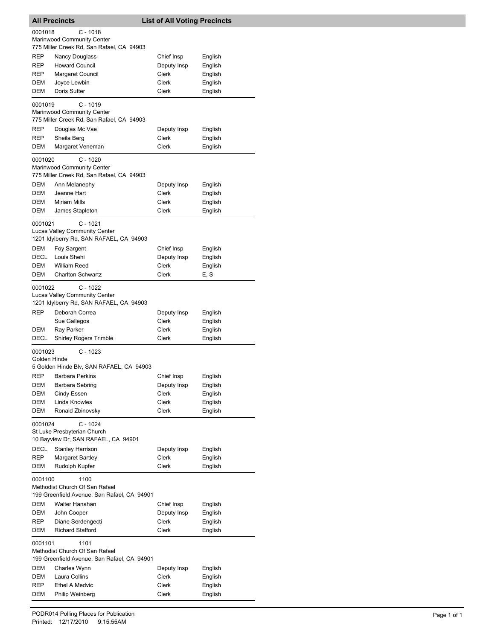|              | <b>All Precincts</b>                        | <b>List of All Voting Precincts</b> |         |
|--------------|---------------------------------------------|-------------------------------------|---------|
| 0001018      | $C - 1018$                                  |                                     |         |
|              | Marinwood Community Center                  |                                     |         |
|              | 775 Miller Creek Rd, San Rafael, CA 94903   |                                     |         |
| REP          | <b>Nancy Douglass</b>                       | Chief Insp                          | English |
| REP          | <b>Howard Council</b>                       | Deputy Insp                         | English |
| REP          | <b>Margaret Council</b>                     | Clerk                               | English |
| DEM          | Joyce Lewbin                                | Clerk                               | English |
| DEM          | Doris Sutter                                | Clerk                               | English |
| 0001019      | $C - 1019$                                  |                                     |         |
|              | Marinwood Community Center                  |                                     |         |
|              | 775 Miller Creek Rd, San Rafael, CA 94903   |                                     |         |
| REP          | Douglas Mc Vae                              | Deputy Insp                         | English |
| REP          | Sheila Berg                                 | Clerk                               | English |
| DEM          | Margaret Veneman                            | Clerk                               | English |
|              |                                             |                                     |         |
| 0001020      | $C - 1020$<br>Marinwood Community Center    |                                     |         |
|              | 775 Miller Creek Rd, San Rafael, CA 94903   |                                     |         |
| DEM          | Ann Melanephy                               | Deputy Insp                         | English |
| DEM          | Jeanne Hart                                 | Clerk                               | English |
| DEM          | <b>Miriam Mills</b>                         | Clerk                               | English |
| DEM          | James Stapleton                             | Clerk                               | English |
|              |                                             |                                     |         |
| 0001021      | $C - 1021$                                  |                                     |         |
|              | <b>Lucas Valley Community Center</b>        |                                     |         |
|              | 1201 Idylberry Rd, SAN RAFAEL, CA 94903     |                                     |         |
| <b>DEM</b>   | Foy Sargent                                 | Chief Insp                          | English |
| DECL         | Louis Shehi                                 | Deputy Insp                         | English |
| DEM          | <b>William Reed</b>                         | Clerk                               | English |
| DEM          | <b>Charlton Schwartz</b>                    | Clerk                               | E, S    |
| 0001022      | $C - 1022$                                  |                                     |         |
|              | <b>Lucas Valley Community Center</b>        |                                     |         |
|              | 1201 Idylberry Rd, SAN RAFAEL, CA 94903     |                                     |         |
| REP          | Deborah Correa                              | Deputy Insp                         | English |
|              | Sue Gallegos                                | Clerk                               | English |
| DEM          | Ray Parker                                  | Clerk                               | English |
| DECL         | <b>Shirley Rogers Trimble</b>               | Clerk                               | English |
| 0001023      | $C - 1023$                                  |                                     |         |
| Golden Hinde |                                             |                                     |         |
|              | 5 Golden Hinde Blv, SAN RAFAEL, CA 94903    |                                     |         |
| <b>REP</b>   | <b>Barbara Perkins</b>                      | Chief Insp                          | English |
| DEM          | Barbara Sebring                             | Deputy Insp                         | English |
| DEM          | Cindy Essen                                 | Clerk                               | English |
| DEM          | Linda Knowles                               | Clerk                               | English |
| DEM          | Ronald Zbinovsky                            | Clerk                               | English |
|              |                                             |                                     |         |
| 0001024      | $C - 1024$<br>St Luke Presbyterian Church   |                                     |         |
|              | 10 Bayview Dr, SAN RAFAEL, CA 94901         |                                     |         |
| DECL         |                                             | Deputy Insp                         |         |
| REP          | <b>Stanley Harrison</b>                     | <b>Clerk</b>                        | English |
|              | <b>Margaret Bartley</b><br>Rudolph Kupfer   |                                     | English |
| DEM          |                                             | Clerk                               | English |
| 0001100      | 1100                                        |                                     |         |
|              | Methodist Church Of San Rafael              |                                     |         |
|              | 199 Greenfield Avenue, San Rafael, CA 94901 |                                     |         |
| DEM          | Walter Hanahan                              | Chief Insp                          | English |
| DEM          | John Cooper                                 | Deputy Insp                         | English |
| REP          | Diane Serdengecti                           | Clerk                               | English |
| DEM          | <b>Richard Stafford</b>                     | Clerk                               | English |
| 0001101      | 1101                                        |                                     |         |
|              | Methodist Church Of San Rafael              |                                     |         |
|              | 199 Greenfield Avenue, San Rafael, CA 94901 |                                     |         |
| DEM          | Charles Wynn                                | Deputy Insp                         | English |
| DEM          | Laura Collins                               | Clerk                               | English |
| REP          | <b>Ethel A Medvic</b>                       | Clerk                               | English |
| DEM          | Philip Weinberg                             | Clerk                               | English |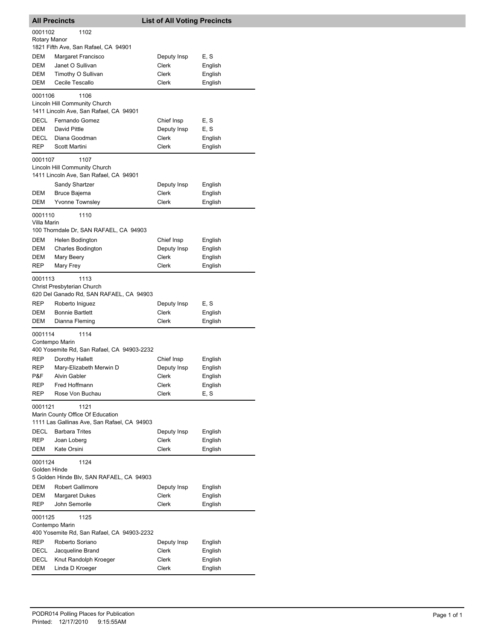|                         | <b>All Precincts</b>                                                                    | <b>List of All Voting Precincts</b> |         |
|-------------------------|-----------------------------------------------------------------------------------------|-------------------------------------|---------|
| 0001102<br>Rotary Manor | 1102<br>1821 Fifth Ave, San Rafael, CA 94901                                            |                                     |         |
| <b>DEM</b>              | Margaret Francisco                                                                      | Deputy Insp                         | E, S    |
| <b>DEM</b>              | Janet O Sullivan                                                                        | Clerk                               | English |
| DEM                     | Timothy O Sullivan                                                                      | Clerk                               | English |
| DEM                     | Cecile Tescallo                                                                         | Clerk                               | English |
| 0001106                 | 1106<br>Lincoln Hill Community Church                                                   |                                     |         |
|                         | 1411 Lincoln Ave, San Rafael, CA 94901                                                  |                                     |         |
| DECL                    | Fernando Gomez                                                                          | Chief Insp                          | E, S    |
| DEM                     | David Pittle                                                                            | Deputy Insp                         | E, S    |
| DECL                    | Diana Goodman                                                                           | Clerk                               | English |
| REP                     | Scott Martini                                                                           | Clerk                               | English |
| 0001107                 | 1107<br>Lincoln Hill Community Church<br>1411 Lincoln Ave, San Rafael, CA 94901         |                                     |         |
|                         | Sandy Shartzer                                                                          | Deputy Insp                         | English |
| DEM                     | <b>Bruce Bajema</b>                                                                     | <b>Clerk</b>                        | English |
| <b>DEM</b>              | <b>Yvonne Townsley</b>                                                                  | Clerk                               | English |
| 0001110<br>Villa Marin  | 1110                                                                                    |                                     |         |
|                         | 100 Thorndale Dr, SAN RAFAEL, CA 94903                                                  |                                     |         |
| DEM                     | Helen Bodington                                                                         | Chief Insp                          | English |
| DEM                     | <b>Charles Bodington</b>                                                                | Deputy Insp                         | English |
| DEM<br>REP              | Mary Beery<br>Mary Frey                                                                 | Clerk<br>Clerk                      | English |
|                         |                                                                                         |                                     | English |
| 0001113                 | 1113<br>Christ Presbyterian Church<br>620 Del Ganado Rd, SAN RAFAEL, CA 94903           |                                     |         |
| REP                     | Roberto Iniguez                                                                         | Deputy Insp                         | E, S    |
| DEM                     | <b>Bonnie Bartlett</b>                                                                  | Clerk                               | English |
| DEM                     | Dianna Fleming                                                                          | Clerk                               | English |
| 0001114                 | 1114<br>Contempo Marin<br>400 Yosemite Rd, San Rafael, CA 94903-2232                    |                                     |         |
| REP                     |                                                                                         |                                     | English |
| REP                     | Dorothy Hallett<br>Mary-Elizabeth Merwin D                                              | Chief Insp<br>Deputy Insp           | English |
| P&F                     | Alvin Gabler                                                                            | Clerk                               | English |
| REP                     | Fred Hoffmann                                                                           | Clerk                               | English |
| <b>REP</b>              | Rose Von Buchau                                                                         | Clerk                               | E, S    |
| 0001121                 | 1121<br>Marin County Office Of Education<br>1111 Las Gallinas Ave, San Rafael, CA 94903 |                                     |         |
| DECL                    | <b>Barbara Trites</b>                                                                   | Deputy Insp                         | English |
| REP                     | Joan Loberg                                                                             | Clerk                               | English |
| <b>DEM</b>              | Kate Orsini                                                                             | Clerk                               | English |
| 0001124<br>Golden Hinde | 1124<br>5 Golden Hinde Blv, SAN RAFAEL, CA 94903                                        |                                     |         |
| DEM                     | <b>Robert Gallimore</b>                                                                 | Deputy Insp                         | English |
| DEM                     | <b>Margaret Dukes</b>                                                                   | Clerk                               | English |
| REP                     | John Semorile                                                                           | Clerk                               | English |
| 0001125                 | 1125<br>Contempo Marin                                                                  |                                     |         |
|                         | 400 Yosemite Rd, San Rafael, CA 94903-2232                                              |                                     |         |
| REP                     | Roberto Soriano                                                                         | Deputy Insp                         | English |
| DECL                    | Jacqueline Brand                                                                        | Clerk                               | English |
| DECL                    | Knut Randolph Kroeger                                                                   | Clerk                               | English |
| DEM                     | Linda D Kroeger                                                                         | Clerk                               | English |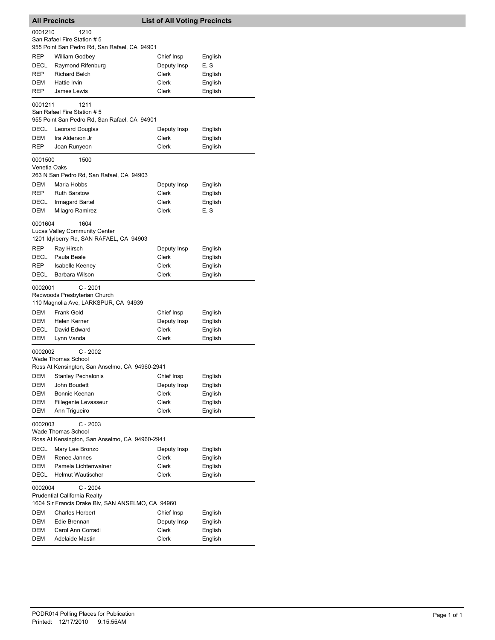|                                                   | <b>All Precincts</b>                                                            | <b>List of All Voting Precincts</b> |                    |  |  |
|---------------------------------------------------|---------------------------------------------------------------------------------|-------------------------------------|--------------------|--|--|
| 0001210                                           | 1210                                                                            |                                     |                    |  |  |
|                                                   | San Rafael Fire Station # 5                                                     |                                     |                    |  |  |
|                                                   | 955 Point San Pedro Rd, San Rafael, CA 94901                                    |                                     |                    |  |  |
| REP                                               | William Godbey                                                                  | Chief Insp                          | English            |  |  |
| DECL                                              | Raymond Rifenburg                                                               | Deputy Insp                         | E, S               |  |  |
| REP                                               | <b>Richard Belch</b>                                                            | Clerk                               | English            |  |  |
| DEM                                               | Hattie Irvin                                                                    | Clerk                               | English            |  |  |
| REP                                               | James Lewis                                                                     | Clerk                               | English            |  |  |
| 0001211                                           | 1211                                                                            |                                     |                    |  |  |
|                                                   | San Rafael Fire Station # 5                                                     |                                     |                    |  |  |
|                                                   | 955 Point San Pedro Rd, San Rafael, CA 94901                                    |                                     |                    |  |  |
| <b>DECL</b>                                       | Leonard Douglas                                                                 | Deputy Insp                         | English            |  |  |
| DEM                                               | Ira Alderson Jr                                                                 | Clerk                               | English            |  |  |
| REP                                               | Joan Runyeon                                                                    | Clerk                               | English            |  |  |
| 0001500                                           | 1500                                                                            |                                     |                    |  |  |
| Venetia Oaks                                      | 263 N San Pedro Rd, San Rafael, CA 94903                                        |                                     |                    |  |  |
| DEM                                               | Maria Hobbs                                                                     | Deputy Insp                         |                    |  |  |
| REP                                               | <b>Ruth Barstow</b>                                                             | Clerk                               | English<br>English |  |  |
| DECL                                              | Irmagard Bartel                                                                 | Clerk                               | English            |  |  |
| DEM                                               | Milagro Ramirez                                                                 | Clerk                               | E, S               |  |  |
|                                                   |                                                                                 |                                     |                    |  |  |
| 0001604                                           | 1604                                                                            |                                     |                    |  |  |
|                                                   | <b>Lucas Valley Community Center</b><br>1201 Idylberry Rd, SAN RAFAEL, CA 94903 |                                     |                    |  |  |
| REP                                               | Ray Hirsch                                                                      | Deputy Insp                         | English            |  |  |
| DECL                                              | Paula Beale                                                                     | Clerk                               | English            |  |  |
| REP                                               | <b>Isabelle Keeney</b>                                                          | Clerk                               | English            |  |  |
| DECL                                              | Barbara Wilson                                                                  | Clerk                               | English            |  |  |
|                                                   |                                                                                 |                                     |                    |  |  |
| 0002001                                           | C - 2001                                                                        |                                     |                    |  |  |
|                                                   | Redwoods Presbyterian Church<br>110 Magnolia Ave, LARKSPUR, CA 94939            |                                     |                    |  |  |
| DEM                                               | Frank Gold                                                                      | Chief Insp                          |                    |  |  |
| DEM                                               | Helen Kerner                                                                    | Deputy Insp                         | English<br>English |  |  |
| DECL                                              | David Edward                                                                    | Clerk                               | English            |  |  |
| DEM                                               | Lynn Vanda                                                                      | Clerk                               | English            |  |  |
|                                                   |                                                                                 |                                     |                    |  |  |
| 0002002                                           | $C - 2002$<br><b>Wade Thomas School</b>                                         |                                     |                    |  |  |
|                                                   | Ross At Kensington, San Anselmo, CA 94960-2941                                  |                                     |                    |  |  |
| DEM                                               | <b>Stanley Pechalonis</b>                                                       | Chief Insp                          | English            |  |  |
| DEM                                               | John Boudett                                                                    | Deputy Insp                         | English            |  |  |
| DEM                                               | Bonnie Keenan                                                                   | Clerk                               | English            |  |  |
| DEM                                               | Fillegenie Levasseur                                                            | Clerk                               | English            |  |  |
| DEM                                               | Ann Trigueiro                                                                   | Clerk                               | English            |  |  |
|                                                   | $C - 2003$                                                                      |                                     |                    |  |  |
| 0002003                                           | Wade Thomas School                                                              |                                     |                    |  |  |
|                                                   | Ross At Kensington, San Anselmo, CA 94960-2941                                  |                                     |                    |  |  |
| <b>DECL</b>                                       | Mary Lee Bronzo                                                                 | Deputy Insp                         | English            |  |  |
| DEM                                               | Renee Jannes                                                                    | Clerk                               | English            |  |  |
| DEM                                               | Pamela Lichtenwalner                                                            | Clerk                               | English            |  |  |
| DECL                                              | <b>Helmut Wautischer</b>                                                        | Clerk                               | English            |  |  |
| 0002004                                           | $C - 2004$                                                                      |                                     |                    |  |  |
|                                                   | <b>Prudential California Realty</b>                                             |                                     |                    |  |  |
| 1604 Sir Francis Drake Blv, SAN ANSELMO, CA 94960 |                                                                                 |                                     |                    |  |  |
|                                                   |                                                                                 |                                     |                    |  |  |
| DEM                                               | <b>Charles Herbert</b>                                                          | Chief Insp                          | English            |  |  |
| DEM                                               | Edie Brennan                                                                    | Deputy Insp                         | English            |  |  |
| DEM                                               | Carol Ann Corradi                                                               | Clerk                               | English            |  |  |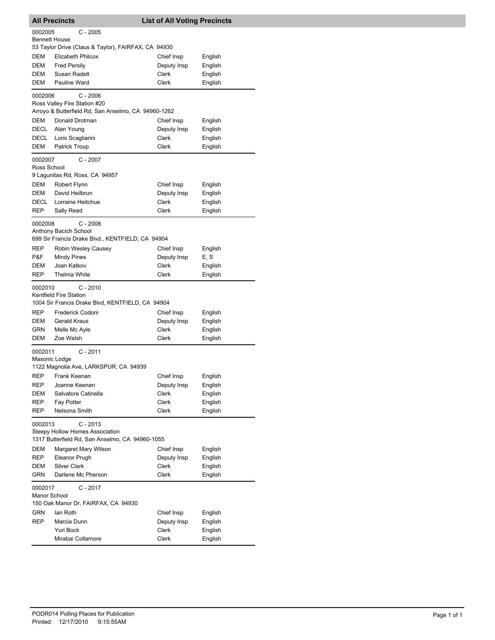|                                 | <b>All Precincts</b>                                                                     | <b>List of All Voting Precincts</b> |                    |
|---------------------------------|------------------------------------------------------------------------------------------|-------------------------------------|--------------------|
| 0002005<br><b>Bennett House</b> | $C - 2005$                                                                               |                                     |                    |
|                                 | 53 Taylor Drive (Claus & Taylor), FAIRFAX, CA 94930                                      |                                     |                    |
| DEM                             | Elizabeth Philcox                                                                        | Chief Insp                          | English            |
| DEM                             | <b>Fred Persily</b>                                                                      | Deputy Insp                         | English            |
| DEM                             | Susan Radelt                                                                             | <b>Clerk</b>                        | English            |
| <b>DEM</b>                      | Pauline Ward                                                                             | <b>Clerk</b>                        | English            |
| 0002006                         | $C - 2006$<br>Ross Valley Fire Station #20                                               |                                     |                    |
|                                 | Arroyo & Butterfield Rd, San Anselmo, CA 94960-1262                                      |                                     |                    |
| DEM                             | Donald Drotman                                                                           | Chief Insp                          | English            |
| DECL                            | Alan Young                                                                               | Deputy Insp                         | English            |
| DECL                            | Loris Scagliarini                                                                        | Clerk                               | English            |
| DEM                             | Patrick Troup                                                                            | Clerk                               | English            |
| 0002007                         | $C - 2007$                                                                               |                                     |                    |
| Ross School                     | 9 Lagunitas Rd, Ross, CA 94957                                                           |                                     |                    |
| DEM                             | Robert Flynn                                                                             | Chief Insp                          | English            |
| <b>DEM</b>                      | David Heilbrun                                                                           | Deputy Insp                         | English            |
| DECL                            | Lorraine Heitchue                                                                        | Clerk                               | English            |
| REP                             | Sally Reed                                                                               | Clerk                               | English            |
|                                 |                                                                                          |                                     |                    |
| 0002008                         | $C - 2008$<br>Anthony Bacich School<br>699 Sir Francis Drake Blvd., KENTFIELD, CA 94904  |                                     |                    |
| REP                             | Robin Wesley Causey                                                                      | Chief Insp                          | English            |
| P&F                             | Mindy Pines                                                                              | Deputy Insp                         | E, S               |
| DEM                             | Joan Katkov                                                                              | Clerk                               | English            |
| <b>REP</b>                      | <b>Thelma White</b>                                                                      | Clerk                               | English            |
| 0002010                         | $C - 2010$<br>Kentfield Fire Station<br>1004 Sir Francis Drake Blvd, KENTFIELD, CA 94904 |                                     |                    |
| REP                             | Frederick Codoni                                                                         | Chief Insp                          | English            |
| DEM                             | Gerald Kraus                                                                             | Deputy Insp                         | English            |
| GRN                             | Melle Mc Ayle                                                                            | Clerk                               | English            |
| DEM                             | Zoe Walsh                                                                                | Clerk                               | English            |
| 0002011<br>Masonic Lodge        | $C - 2011$<br>1122 Magnolia Ave, LARKSPUR, CA 94939                                      |                                     |                    |
| <b>REP</b>                      | Frank Keenan                                                                             | Chief Insp                          | English            |
| REP                             |                                                                                          |                                     |                    |
|                                 | Joanne Keenan                                                                            | Deputy Insp                         | English            |
| <b>DEM</b>                      | Salvatore Catinella                                                                      | Clerk                               | English            |
| REP                             | Fay Potter                                                                               | Clerk                               | English            |
| REP                             | Nelsona Smith                                                                            | <b>Clerk</b>                        | English            |
| 0002013                         | $C - 2013$                                                                               |                                     |                    |
|                                 | Sleepy Hollow Homes Association<br>1317 Butterfield Rd, San Anselmo, CA 94960-1055       |                                     |                    |
| DEM                             | Margaret Mary Wilson                                                                     | Chief Insp                          | English            |
| <b>REP</b>                      | Eleanor Prugh                                                                            | Deputy Insp                         | English            |
| DEM                             | <b>Silver Clark</b>                                                                      | Clerk                               | English            |
| <b>GRN</b>                      | Darlene Mc Pherson                                                                       | Clerk                               | English            |
| 0002017                         | $C - 2017$                                                                               |                                     |                    |
| Manor School                    |                                                                                          |                                     |                    |
|                                 | 150 Oak Manor Dr, FAIRFAX, CA 94930                                                      |                                     |                    |
| GRN                             | lan Roth                                                                                 | Chief Insp                          | English            |
| REP                             | Marcia Dunn<br>Yuri Bock                                                                 | Deputy Insp<br>Clerk                | English<br>English |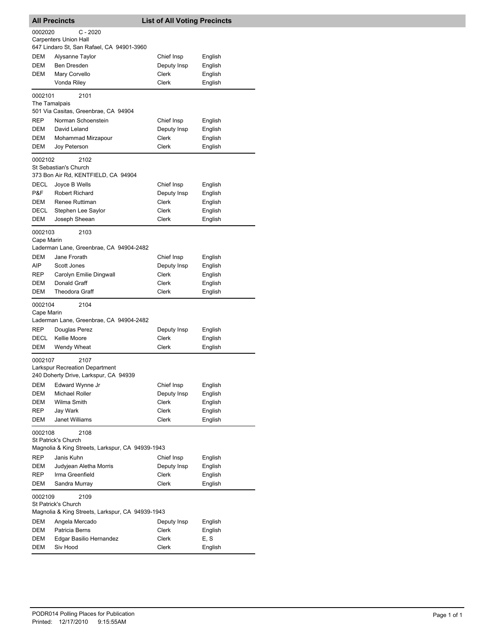|                       | <b>All Precincts</b>                                                    | <b>List of All Voting Precincts</b> |                    |
|-----------------------|-------------------------------------------------------------------------|-------------------------------------|--------------------|
| 0002020               | C - 2020                                                                |                                     |                    |
|                       | <b>Carpenters Union Hall</b>                                            |                                     |                    |
|                       | 647 Lindaro St, San Rafael, CA 94901-3960                               |                                     |                    |
| DEM                   | Alysanne Taylor                                                         | Chief Insp                          | English            |
| DEM                   | <b>Ben Dresden</b>                                                      | Deputy Insp                         | English            |
| DEM                   | Mary Corvello                                                           | Clerk                               | English            |
|                       | Vonda Riley                                                             | <b>Clerk</b>                        | English            |
| 0002101               | 2101                                                                    |                                     |                    |
| The Tamalpais         | 501 Via Casitas, Greenbrae, CA 94904                                    |                                     |                    |
| REP                   | Norman Schoenstein                                                      | Chief Insp                          | English            |
| DEM                   | David Leland                                                            | Deputy Insp                         | English            |
| DEM                   | Mohammad Mirzapour                                                      | Clerk                               | English            |
| DEM                   | Joy Peterson                                                            | Clerk                               | English            |
|                       |                                                                         |                                     |                    |
| 0002102               | 2102<br>St Sebastian's Church                                           |                                     |                    |
|                       | 373 Bon Air Rd, KENTFIELD, CA 94904                                     |                                     |                    |
| DECL                  | Joyce B Wells                                                           | Chief Insp                          | English            |
| P&F                   | <b>Robert Richard</b>                                                   | Deputy Insp                         | English            |
| DEM                   | Renee Ruttiman                                                          | Clerk                               | English            |
| DECL                  | Stephen Lee Saylor                                                      | Clerk                               | English            |
| DEM                   | Joseph Sheean                                                           | Clerk                               | English            |
| 0002103<br>Cape Marin | 2103                                                                    |                                     |                    |
|                       | Laderman Lane, Greenbrae, CA 94904-2482                                 |                                     |                    |
| DEM                   | Jane Frorath                                                            | Chief Insp                          | English            |
| AIP                   | Scott Jones                                                             | Deputy Insp                         | English            |
| REP                   | Carolyn Emilie Dingwall                                                 | Clerk                               | English            |
| DEM                   | Donald Graff                                                            | Clerk                               | English            |
| DEM                   | <b>Theodora Graff</b>                                                   | Clerk                               | English            |
| 0002104               | 2104                                                                    |                                     |                    |
| Cape Marin            |                                                                         |                                     |                    |
|                       | Laderman Lane, Greenbrae, CA 94904-2482                                 |                                     |                    |
| REP                   | Douglas Perez                                                           | Deputy Insp                         | English            |
| DECL                  | Kellie Moore                                                            | Clerk                               | English            |
| DEM                   | Wendy Wheat                                                             | Clerk                               | English            |
| 0002107               | 2107                                                                    |                                     |                    |
|                       | Larkspur Recreation Department                                          |                                     |                    |
|                       | 240 Doherty Drive, Larkspur, CA 94939                                   |                                     |                    |
| DEM                   | Edward Wynne Jr                                                         | Chief Insp                          | English            |
| DEM                   | Michael Roller                                                          | Deputy Insp                         | English            |
| DEM                   | Wilma Smith                                                             | Clerk                               | English            |
| REP                   | Jay Wark                                                                | Clerk                               | English            |
| DEM                   | <b>Janet Williams</b>                                                   | Clerk                               | English            |
| 0002108               | 2108                                                                    |                                     |                    |
|                       | St Patrick's Church<br>Magnolia & King Streets, Larkspur, CA 94939-1943 |                                     |                    |
| REP                   | Janis Kuhn                                                              | Chief Insp                          |                    |
|                       |                                                                         |                                     | English            |
| DEM<br>REP            | Judyjean Aletha Morris<br>Irma Greenfield                               | Deputy Insp<br><b>Clerk</b>         | English            |
| DEM                   | Sandra Murray                                                           | Clerk                               | English<br>English |
|                       |                                                                         |                                     |                    |
| 0002109               | 2109<br>St Patrick's Church                                             |                                     |                    |
|                       | Magnolia & King Streets, Larkspur, CA 94939-1943                        |                                     |                    |
| DEM                   | Angela Mercado                                                          | Deputy Insp                         | English            |
| DEM                   | Patricia Berns                                                          | Clerk                               | English            |
| DEM                   | Edgar Basilio Hernandez                                                 | Clerk                               | E, S               |
| DEM                   | Siv Hood                                                                | Clerk                               | English            |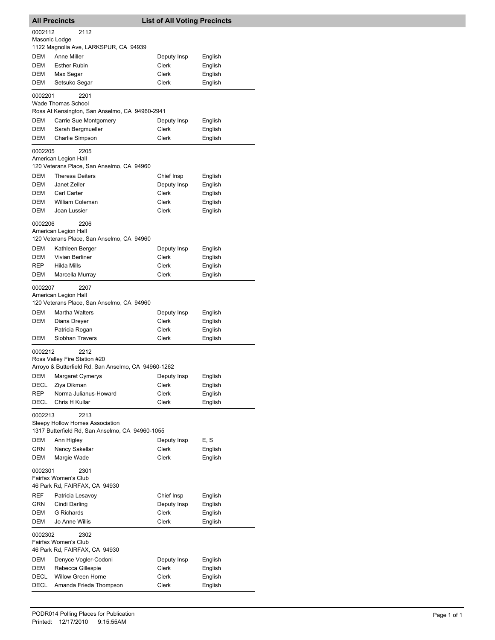|                          | <b>All Precincts</b>                                                                        | <b>List of All Voting Precincts</b> |                    |
|--------------------------|---------------------------------------------------------------------------------------------|-------------------------------------|--------------------|
| 0002112<br>Masonic Lodge | 2112                                                                                        |                                     |                    |
|                          | 1122 Magnolia Ave, LARKSPUR, CA 94939                                                       |                                     |                    |
| DEM                      | <b>Anne Miller</b>                                                                          | Deputy Insp                         | English            |
| DEM                      | <b>Esther Rubin</b>                                                                         | Clerk                               | English            |
| DEM                      | Max Segar                                                                                   | Clerk                               | English            |
| DEM                      | Setsuko Segar                                                                               | Clerk                               | English            |
| 0002201                  | 2201<br><b>Wade Thomas School</b>                                                           |                                     |                    |
|                          | Ross At Kensington, San Anselmo, CA 94960-2941                                              |                                     |                    |
| DEM                      | Carrie Sue Montgomery                                                                       | Deputy Insp                         | English            |
| DEM<br>DEM               | Sarah Bergmueller<br>Charlie Simpson                                                        | Clerk<br>Clerk                      | English<br>English |
|                          |                                                                                             |                                     |                    |
| 0002205                  | 2205                                                                                        |                                     |                    |
|                          | American Legion Hall<br>120 Veterans Place, San Anselmo, CA 94960                           |                                     |                    |
| <b>DEM</b>               | <b>Theresa Deiters</b>                                                                      | Chief Insp                          | English            |
| DEM                      | Janet Zeller                                                                                | Deputy Insp                         | English            |
| DEM                      | Carl Carter                                                                                 | Clerk                               | English            |
| DEM                      | <b>William Coleman</b>                                                                      | Clerk                               | English            |
| DEM                      | Joan Lussier                                                                                | Clerk                               | English            |
| 0002206                  | 2206                                                                                        |                                     |                    |
|                          | American Legion Hall<br>120 Veterans Place, San Anselmo, CA 94960                           |                                     |                    |
| <b>DEM</b>               | Kathleen Berger                                                                             | Deputy Insp                         | English            |
| DEM                      | Vivian Berliner                                                                             | Clerk                               | English            |
| REP                      | Hilda Mills                                                                                 | Clerk                               | English            |
| DEM                      | Marcella Murray                                                                             | Clerk                               | English            |
| 0002207                  | 2207<br>American Legion Hall<br>120 Veterans Place, San Anselmo, CA 94960                   |                                     |                    |
| DEM                      | <b>Martha Walters</b>                                                                       | Deputy Insp                         | English            |
| DEM                      | Diana Dreyer                                                                                | Clerk                               | English            |
|                          | Patricia Rogan                                                                              | Clerk                               | English            |
| DEM                      | Siobhan Travers                                                                             | Clerk                               | English            |
| 0002212                  | 2212<br>Ross Valley Fire Station #20<br>Arroyo & Butterfield Rd, San Anselmo, CA 94960-1262 |                                     |                    |
| DEM                      | Margaret Cymerys                                                                            | Deputy Insp                         | English            |
| DECL                     | Ziya Dikman                                                                                 | Clerk                               | English            |
| REP                      | Norma Julianus-Howard                                                                       | <b>Clerk</b>                        | English            |
| DECL                     | Chris H Kullar                                                                              | Clerk                               | English            |
| 0002213                  | 2213<br>Sleepy Hollow Homes Association<br>1317 Butterfield Rd, San Anselmo, CA 94960-1055  |                                     |                    |
| DEM                      | Ann Higley                                                                                  | Deputy Insp                         | E, S               |
| GRN                      | Nancy Sakellar                                                                              | Clerk                               | English            |
| DEM                      | Margie Wade                                                                                 | Clerk                               | English            |
| 0002301                  | 2301                                                                                        |                                     |                    |
|                          | Fairfax Women's Club<br>46 Park Rd, FAIRFAX, CA 94930                                       |                                     |                    |
| REF                      | Patricia Lesavoy                                                                            | Chief Insp                          | English            |
| <b>GRN</b>               | Cindi Darling                                                                               | Deputy Insp                         | English            |
| DEM                      | <b>G</b> Richards                                                                           | Clerk                               | English            |
| DEM                      | Jo Anne Willis                                                                              | Clerk                               | English            |
| 0002302                  | 2302<br>Fairfax Women's Club                                                                |                                     |                    |
|                          | 46 Park Rd, FAIRFAX, CA 94930                                                               |                                     |                    |
| DEM                      | Denyce Vogler-Codoni                                                                        | Deputy Insp                         | English            |
| DEM                      | Rebecca Gillespie                                                                           | Clerk                               | English            |
| DECL                     | <b>Willow Green Horne</b>                                                                   | Clerk                               | English            |
| DECL                     | Amanda Frieda Thompson                                                                      | Clerk                               | English            |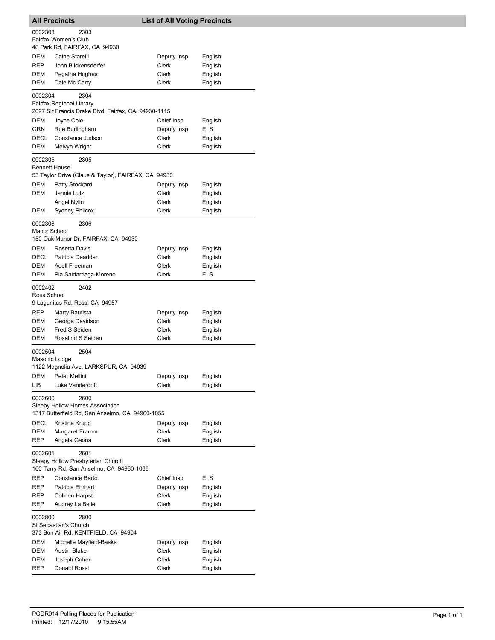|                                 | <b>All Precincts</b>                                                            | <b>List of All Voting Precincts</b> |                    |
|---------------------------------|---------------------------------------------------------------------------------|-------------------------------------|--------------------|
| 0002303                         | 2303                                                                            |                                     |                    |
|                                 | Fairfax Women's Club                                                            |                                     |                    |
|                                 | 46 Park Rd, FAIRFAX, CA 94930                                                   |                                     |                    |
| DEM                             | Caine Starelli                                                                  | Deputy Insp                         | English            |
| REP                             | John Blickensderfer                                                             | Clerk                               | English            |
| DEM<br>DEM                      | Pegatha Hughes<br>Dale Mc Carty                                                 | Clerk<br>Clerk                      | English<br>English |
|                                 |                                                                                 |                                     |                    |
| 0002304                         | 2304                                                                            |                                     |                    |
|                                 | Fairfax Regional Library<br>2097 Sir Francis Drake Blvd, Fairfax, CA 94930-1115 |                                     |                    |
| DEM                             | Joyce Cole                                                                      | Chief Insp                          | English            |
| GRN                             | Rue Burlingham                                                                  | Deputy Insp                         | E, S               |
| DECL                            | Constance Judson                                                                | Clerk                               | English            |
| DEM                             | Melvyn Wright                                                                   | Clerk                               | English            |
|                                 |                                                                                 |                                     |                    |
| 0002305<br><b>Bennett House</b> | 2305                                                                            |                                     |                    |
|                                 | 53 Taylor Drive (Claus & Taylor), FAIRFAX, CA 94930                             |                                     |                    |
| DEM                             | Patty Stockard                                                                  | Deputy Insp                         | English            |
| DEM                             | Jennie Lutz                                                                     | Clerk                               | English            |
|                                 | Angel Nylin                                                                     | Clerk                               | English            |
| DEM                             | <b>Sydney Philcox</b>                                                           | <b>Clerk</b>                        | English            |
| 0002306                         | 2306                                                                            |                                     |                    |
| Manor School                    |                                                                                 |                                     |                    |
|                                 | 150 Oak Manor Dr, FAIRFAX, CA 94930                                             |                                     |                    |
| DEM                             | Rosetta Davis                                                                   | Deputy Insp                         | English            |
| DECL                            | Patricia Deadder                                                                | Clerk                               | English            |
| DEM                             | Adell Freeman                                                                   | Clerk                               | English            |
| DEM                             | Pia Saldarriaga-Moreno                                                          | Clerk                               | E, S               |
| 0002402                         | 2402                                                                            |                                     |                    |
| Ross School                     |                                                                                 |                                     |                    |
|                                 | 9 Lagunitas Rd, Ross, CA 94957                                                  |                                     |                    |
| REP                             | Marty Bautista                                                                  | Deputy Insp                         | English            |
| DEM                             | George Davidson                                                                 | Clerk                               | English            |
| DEM                             | Fred S Seiden                                                                   | Clerk                               | English            |
| DEM                             | Rosalind S Seiden                                                               | Clerk                               | English            |
| 0002504                         | 2504                                                                            |                                     |                    |
| Masonic Lodge                   |                                                                                 |                                     |                    |
|                                 | 1122 Magnolia Ave, LARKSPUR, CA 94939                                           |                                     |                    |
| DEM                             | Peter Mellini<br>Luke Vanderdrift                                               | Deputy Insp                         | English            |
| LІВ                             |                                                                                 | Clerk                               | English            |
| 0002600                         | 2600                                                                            |                                     |                    |
|                                 | Sleepy Hollow Homes Association                                                 |                                     |                    |
|                                 | 1317 Butterfield Rd, San Anselmo, CA 94960-1055                                 |                                     |                    |
| DECL                            | Kristine Krupp                                                                  | Deputy Insp<br><b>Clerk</b>         | English            |
| DEM<br>REP                      | Margaret Framm<br>Angela Gaona                                                  | Clerk                               | English<br>English |
|                                 |                                                                                 |                                     |                    |
| 0002601                         | 2601                                                                            |                                     |                    |
|                                 | Sleepy Hollow Presbyterian Church                                               |                                     |                    |
|                                 | 100 Tarry Rd, San Anselmo, CA 94960-1066                                        |                                     |                    |
| REP<br>REP                      | Constance Berto<br>Patricia Ehrhart                                             | Chief Insp                          | E, S               |
| REP                             | Colleen Harpst                                                                  | Deputy Insp<br>Clerk                | English<br>English |
| REP                             | Audrey La Belle                                                                 | Clerk                               | English            |
|                                 |                                                                                 |                                     |                    |
| 0002800                         | 2800                                                                            |                                     |                    |
|                                 | St Sebastian's Church<br>373 Bon Air Rd, KENTFIELD, CA 94904                    |                                     |                    |
| DEM                             | Michelle Mayfield-Baske                                                         | Deputy Insp                         | English            |
| DEM                             | Austin Blake                                                                    | Clerk                               | English            |
| DEM                             | Joseph Cohen                                                                    | Clerk                               | English            |
| REP                             | Donald Rossi                                                                    | Clerk                               | English            |
|                                 |                                                                                 |                                     |                    |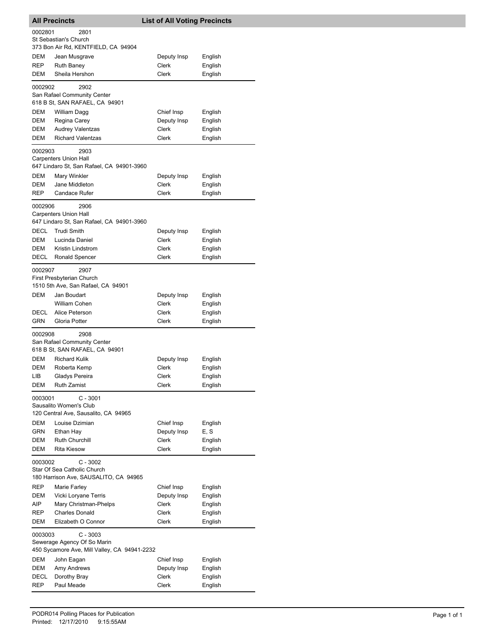| <b>All Precincts</b>     |                                                                | <b>List of All Voting Precincts</b> |                    |
|--------------------------|----------------------------------------------------------------|-------------------------------------|--------------------|
| 0002801                  | 2801                                                           |                                     |                    |
|                          | St Sebastian's Church<br>373 Bon Air Rd, KENTFIELD, CA 94904   |                                     |                    |
| <b>DEM</b>               | Jean Musgrave                                                  | Deputy Insp                         | English            |
| REP                      | <b>Ruth Baney</b>                                              | <b>Clerk</b>                        | English            |
| DEM                      | Sheila Hershon                                                 | Clerk                               | English            |
| 0002902                  | 2902                                                           |                                     |                    |
|                          | San Rafael Community Center<br>618 B St, SAN RAFAEL, CA 94901  |                                     |                    |
| DEM                      | William Dagg                                                   | Chief Insp                          | English            |
| <b>DEM</b>               | Regina Carey                                                   | Deputy Insp                         | English            |
| DEM<br>DEM               | <b>Audrey Valentzas</b>                                        | <b>Clerk</b><br><b>Clerk</b>        | English            |
|                          | <b>Richard Valentzas</b>                                       |                                     | English            |
| 0002903                  | 2903<br><b>Carpenters Union Hall</b>                           |                                     |                    |
|                          | 647 Lindaro St, San Rafael, CA 94901-3960                      |                                     |                    |
| DEM                      | Mary Winkler                                                   | Deputy Insp                         | English            |
| <b>DEM</b><br><b>REP</b> | Jane Middleton<br>Candace Rufer                                | <b>Clerk</b><br>Clerk               | English            |
|                          |                                                                |                                     | English            |
| 0002906                  | 2906<br><b>Carpenters Union Hall</b>                           |                                     |                    |
|                          | 647 Lindaro St, San Rafael, CA 94901-3960                      |                                     |                    |
| DECL                     | <b>Trudi Smith</b>                                             | Deputy Insp                         | English            |
| DEM                      | Lucinda Daniel                                                 | Clerk                               | English            |
| <b>DEM</b><br>DECL       | Kristin Lindstrom<br>Ronald Spencer                            | Clerk<br>Clerk                      | English<br>English |
| 0002907                  | 2907                                                           |                                     |                    |
|                          | First Presbyterian Church                                      |                                     |                    |
|                          | 1510 5th Ave, San Rafael, CA 94901                             |                                     |                    |
| DEM                      | Jan Boudart                                                    | Deputy Insp<br>Clerk                | English            |
| DECL                     | William Cohen<br>Alice Peterson                                | Clerk                               | English<br>English |
| GRN                      | Gloria Potter                                                  | Clerk                               | English            |
| 0002908                  | 2908                                                           |                                     |                    |
|                          | San Rafael Community Center<br>618 B St, SAN RAFAEL, CA 94901  |                                     |                    |
| DEM                      | <b>Richard Kulik</b>                                           | Deputy Insp                         | English            |
| DEM                      | Roberta Kemp                                                   | Clerk                               | English            |
| LІВ                      | Gladys Pereira                                                 | Clerk                               | English            |
| DEM                      | Ruth Zamist                                                    | Clerk                               | English            |
| 0003001                  | $C - 3001$                                                     |                                     |                    |
|                          | Sausalito Women's Club<br>120 Central Ave, Sausalito, CA 94965 |                                     |                    |
| DEM                      | Louise Dzimian                                                 | Chief Insp                          | English            |
| GRN                      | Ethan Hay                                                      | Deputy Insp                         | E, S               |
| DEM<br>DEM               | Ruth Churchill<br><b>Rita Kiesow</b>                           | Clerk<br><b>Clerk</b>               | English<br>English |
|                          |                                                                |                                     |                    |
| 0003002                  | $C - 3002$<br>Star Of Sea Catholic Church                      |                                     |                    |
|                          | 180 Harrison Ave, SAUSALITO, CA 94965                          |                                     |                    |
| REP                      | Marie Farley                                                   | Chief Insp                          | English            |
| DEM                      | Vicki Loryane Terris                                           | Deputy Insp                         | English            |
| AIP<br>REP               | Mary Christman-Phelps<br><b>Charles Donald</b>                 | Clerk<br>Clerk                      | English<br>English |
| DEM                      | Elizabeth O Connor                                             | Clerk                               | English            |
| 0003003                  | $C - 3003$                                                     |                                     |                    |
|                          | Sewerage Agency Of So Marin                                    |                                     |                    |
| DEM                      | 450 Sycamore Ave, Mill Valley, CA 94941-2232                   |                                     |                    |
| DEM                      | John Eagan<br>Amy Andrews                                      | Chief Insp<br>Deputy Insp           | English<br>English |
| DECL                     | Dorothy Bray                                                   | Clerk                               | English            |
| REP                      | Paul Meade                                                     | Clerk                               | English            |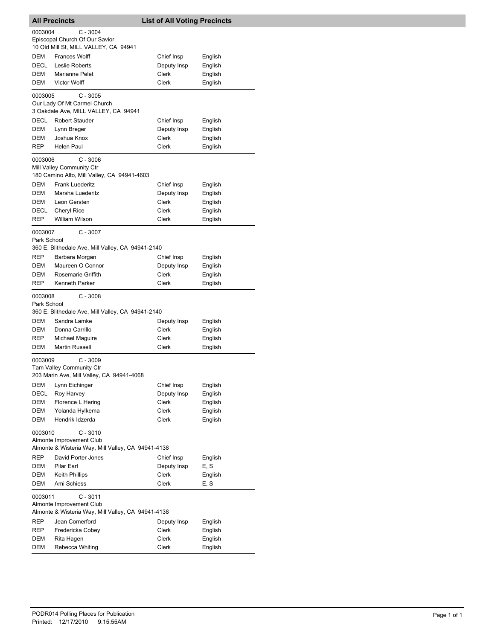| <b>All Precincts</b> |                                                                                | <b>List of All Voting Precincts</b> |                    |
|----------------------|--------------------------------------------------------------------------------|-------------------------------------|--------------------|
| 0003004              | C - 3004                                                                       |                                     |                    |
|                      | Episcopal Church Of Our Savior                                                 |                                     |                    |
|                      | 10 Old Mill St, MILL VALLEY, CA 94941                                          |                                     |                    |
| DEM                  | <b>Frances Wolff</b>                                                           | Chief Insp                          | English            |
| DECL                 | Leslie Roberts                                                                 | Deputy Insp                         | English            |
| DEM                  | Marianne Pelet                                                                 | Clerk                               | English            |
| DEM                  | <b>Victor Wolff</b>                                                            | <b>Clerk</b>                        | English            |
| 0003005              | $C - 3005$                                                                     |                                     |                    |
|                      | Our Lady Of Mt Carmel Church<br>3 Oakdale Ave, MILL VALLEY, CA 94941           |                                     |                    |
| DECL                 | <b>Robert Stauder</b>                                                          | Chief Insp                          |                    |
| DEM                  | Lynn Breger                                                                    | Deputy Insp                         | English<br>English |
| DEM                  | Joshua Knox                                                                    | Clerk                               | English            |
| REP                  | <b>Helen Paul</b>                                                              | Clerk                               | English            |
|                      |                                                                                |                                     |                    |
| 0003006              | $C - 3006$<br>Mill Valley Community Ctr                                        |                                     |                    |
|                      | 180 Camino Alto, Mill Valley, CA 94941-4603                                    |                                     |                    |
| <b>DEM</b>           | <b>Frank Luederitz</b>                                                         | Chief Insp                          | English            |
| DEM                  | Marsha Luederitz                                                               | Deputy Insp                         | English            |
| DEM                  | Leon Gersten                                                                   | <b>Clerk</b>                        | English            |
| DECL                 | Cheryl Rice                                                                    | Clerk                               | English            |
| <b>REP</b>           | William Wilson                                                                 | Clerk                               | English            |
| 0003007              | $C - 3007$                                                                     |                                     |                    |
| Park School          |                                                                                |                                     |                    |
|                      | 360 E. Blithedale Ave, Mill Valley, CA 94941-2140                              |                                     |                    |
| REP                  | Barbara Morgan                                                                 | Chief Insp                          | English            |
| DEM                  | Maureen O Connor                                                               | Deputy Insp                         | English            |
| DEM                  | Rosemarie Griffith                                                             | Clerk                               | English            |
| REP                  | <b>Kenneth Parker</b>                                                          | Clerk                               | English            |
| 0003008              | $C - 3008$                                                                     |                                     |                    |
| Park School          |                                                                                |                                     |                    |
|                      | 360 E. Blithedale Ave, Mill Valley, CA 94941-2140                              |                                     |                    |
| DEM                  | Sandra Lamke                                                                   | Deputy Insp                         | English            |
| DEM                  | Donna Carrillo                                                                 | Clerk                               | English            |
| REP                  | Michael Maguire                                                                | Clerk                               | English            |
| DEM                  | <b>Martin Russell</b>                                                          | Clerk                               | English            |
| 0003009              | $C - 3009$                                                                     |                                     |                    |
|                      | Tam Valley Community Ctr                                                       |                                     |                    |
|                      | 203 Marin Ave, Mill Valley, CA 94941-4068                                      |                                     |                    |
| DEM                  | Lynn Eichinger                                                                 | Chief Insp                          | English            |
| DECL                 | Roy Harvey                                                                     | Deputy Insp                         | English            |
| DEM                  | Florence L Hering                                                              | Clerk                               | English            |
| DEM<br>DEM           | Yolanda Hylkema<br>Hendrik Idzerda                                             | Clerk<br><b>Clerk</b>               | English<br>English |
|                      |                                                                                |                                     |                    |
| 0003010              | $C - 3010$                                                                     |                                     |                    |
|                      | Almonte Improvement Club<br>Almonte & Wisteria Way, Mill Valley, CA 94941-4138 |                                     |                    |
| REP                  | David Porter Jones                                                             | Chief Insp                          | English            |
| DEM                  | Pilar Earl                                                                     | Deputy Insp                         | E, S               |
| DEM                  | Keith Phillips                                                                 | Clerk                               | English            |
| DEM                  | Ami Schiess                                                                    | Clerk                               | E, S               |
|                      |                                                                                |                                     |                    |
| 0003011              | $C - 3011$<br>Almonte Improvement Club                                         |                                     |                    |
|                      | Almonte & Wisteria Way, Mill Valley, CA 94941-4138                             |                                     |                    |
| REP                  | Jean Comerford                                                                 | Deputy Insp                         | English            |
| REP                  | Fredericka Cobey                                                               | Clerk                               | English            |
| DEM                  | Rita Hagen                                                                     | Clerk                               | English            |
| DEM                  | Rebecca Whiting                                                                | Clerk                               | English            |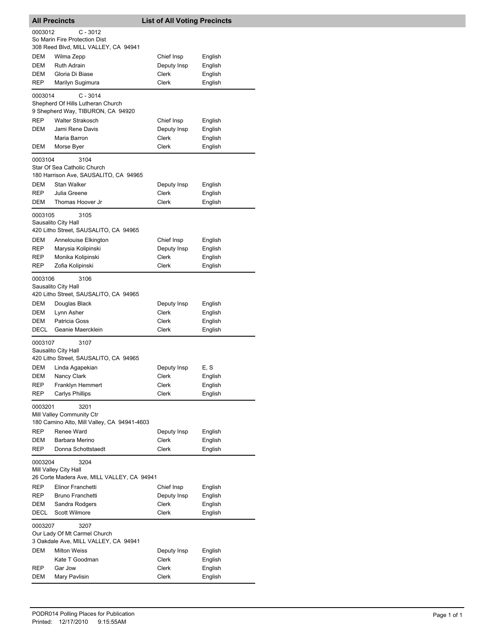|                                                                                        | <b>All Precincts</b>                                                               | <b>List of All Voting Precincts</b> |                    |  |
|----------------------------------------------------------------------------------------|------------------------------------------------------------------------------------|-------------------------------------|--------------------|--|
| 0003012                                                                                | C - 3012                                                                           |                                     |                    |  |
|                                                                                        | So Marin Fire Protection Dist                                                      |                                     |                    |  |
|                                                                                        | 308 Reed Blvd, MILL VALLEY, CA 94941                                               |                                     |                    |  |
| DEM                                                                                    | Wilma Zepp                                                                         | Chief Insp                          | English            |  |
| DEM                                                                                    | <b>Ruth Adrain</b>                                                                 | Deputy Insp                         | English            |  |
| <b>DEM</b>                                                                             | Gloria Di Biase                                                                    | Clerk                               | English            |  |
| REP                                                                                    | Marilyn Sugimura                                                                   | Clerk                               | English            |  |
| 0003014                                                                                | C - 3014<br>Shepherd Of Hills Lutheran Church<br>9 Shepherd Way, TIBURON, CA 94920 |                                     |                    |  |
| <b>REP</b>                                                                             | <b>Walter Strakosch</b>                                                            | Chief Insp                          | English            |  |
| DEM                                                                                    | Jami Rene Davis                                                                    | Deputy Insp                         | English            |  |
|                                                                                        | Maria Barron                                                                       | Clerk                               | English            |  |
| DEM                                                                                    | Morse Byer                                                                         | Clerk                               | English            |  |
| 0003104                                                                                | 3104                                                                               |                                     |                    |  |
|                                                                                        | Star Of Sea Catholic Church                                                        |                                     |                    |  |
|                                                                                        | 180 Harrison Ave, SAUSALITO, CA 94965                                              |                                     |                    |  |
| DEM                                                                                    | <b>Stan Walker</b><br>Julia Greene                                                 | Deputy Insp<br><b>Clerk</b>         | English            |  |
| REP<br>DEM                                                                             | Thomas Hoover Jr                                                                   | Clerk                               | English<br>English |  |
|                                                                                        |                                                                                    |                                     |                    |  |
| 0003105                                                                                | 3105<br>Sausalito City Hall<br>420 Litho Street, SAUSALITO, CA 94965               |                                     |                    |  |
| DEM                                                                                    | Annelouise Elkington                                                               | Chief Insp                          | English            |  |
| REP                                                                                    | Marysia Kolipinski                                                                 | Deputy Insp                         | English            |  |
| REP                                                                                    | Monika Kolipinski                                                                  | Clerk                               | English            |  |
| REP                                                                                    | Zofia Kolipinski                                                                   | <b>Clerk</b>                        | English            |  |
| 0003106                                                                                | 3106<br>Sausalito City Hall<br>420 Litho Street, SAUSALITO, CA 94965               |                                     |                    |  |
| DEM                                                                                    | Douglas Black                                                                      | Deputy Insp                         | English            |  |
| DEM                                                                                    | Lynn Asher                                                                         | Clerk                               | English            |  |
| DEM                                                                                    | Patricia Goss                                                                      | Clerk                               | English            |  |
| DECL                                                                                   | Geanie Maercklein                                                                  | Clerk                               | English            |  |
| 0003107                                                                                | 3107<br>Sausalito City Hall<br>420 Litho Street, SAUSALITO, CA 94965               |                                     |                    |  |
| DEM                                                                                    | Linda Agapekian                                                                    | Deputy Insp                         | E, S               |  |
| DEM                                                                                    | Nancy Clark                                                                        | Clerk                               | English            |  |
| REP                                                                                    | Franklyn Hemmert                                                                   | Clerk                               | English            |  |
| REP                                                                                    | <b>Carlys Phillips</b>                                                             | Clerk                               | English            |  |
| 0003201                                                                                | 3201<br>Mill Valley Community Ctr<br>180 Camino Alto, Mill Valley, CA 94941-4603   |                                     |                    |  |
| REP                                                                                    | Renee Ward                                                                         | Deputy Insp                         | English            |  |
| DEM                                                                                    | Barbara Merino                                                                     | Clerk                               | English            |  |
| REP                                                                                    | Donna Schottstaedt                                                                 | Clerk                               | English            |  |
| 0003204<br>3204<br>Mill Valley City Hall<br>26 Corte Madera Ave, MILL VALLEY, CA 94941 |                                                                                    |                                     |                    |  |
| REP                                                                                    | Elinor Franchetti                                                                  | Chief Insp                          | English            |  |
| REP                                                                                    | Bruno Franchetti                                                                   | Deputy Insp                         | English            |  |
| DEM                                                                                    | Sandra Rodgers                                                                     | Clerk                               | English            |  |
| DECL                                                                                   | Scott Wilmore                                                                      | Clerk                               | English            |  |
| 0003207                                                                                | 3207<br>Our Lady Of Mt Carmel Church                                               |                                     |                    |  |
|                                                                                        | 3 Oakdale Ave, MILL VALLEY, CA 94941                                               |                                     |                    |  |
| DEM                                                                                    | <b>Milton Weiss</b>                                                                | Deputy Insp                         | English            |  |
|                                                                                        | Kate T Goodman                                                                     | Clerk                               | English            |  |
| REP                                                                                    | Gar Jow                                                                            | Clerk                               | English            |  |
| DEM                                                                                    | Mary Pavlisin                                                                      | Clerk                               | English            |  |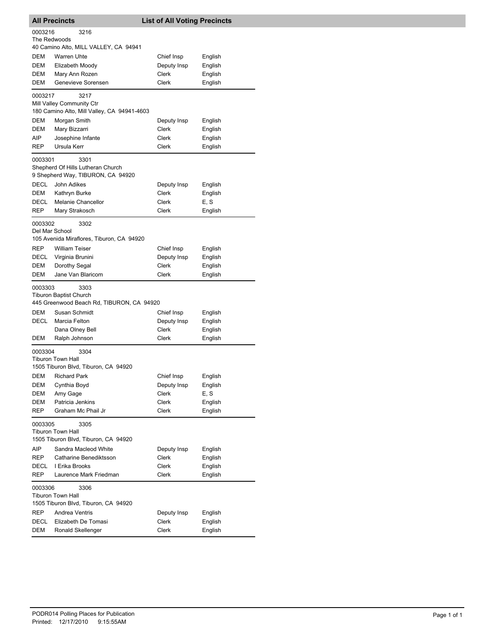|                                                                                     | <b>All Precincts</b>                                                             | <b>List of All Voting Precincts</b> |         |  |
|-------------------------------------------------------------------------------------|----------------------------------------------------------------------------------|-------------------------------------|---------|--|
| 0003216<br>3216<br>The Redwoods<br>40 Camino Alto, MILL VALLEY, CA 94941            |                                                                                  |                                     |         |  |
| DEM                                                                                 | <b>Warren Uhte</b>                                                               | Chief Insp                          | English |  |
| DEM                                                                                 | Elizabeth Moody                                                                  | Deputy Insp                         | English |  |
| DEM                                                                                 | Mary Ann Rozen                                                                   | <b>Clerk</b>                        | English |  |
| <b>DEM</b>                                                                          | Genevieve Sorensen                                                               | Clerk                               | English |  |
|                                                                                     |                                                                                  |                                     |         |  |
| 0003217                                                                             | 3217<br>Mill Valley Community Ctr<br>180 Camino Alto, Mill Valley, CA 94941-4603 |                                     |         |  |
| DEM                                                                                 | Morgan Smith                                                                     | Deputy Insp                         | English |  |
| DEM                                                                                 | Mary Bizzarri                                                                    | Clerk                               | English |  |
| AIP                                                                                 | Josephine Infante                                                                | Clerk                               | English |  |
| REP                                                                                 | Ursula Kerr                                                                      | Clerk                               | English |  |
| 0003301                                                                             | 3301<br>Shepherd Of Hills Lutheran Church<br>9 Shepherd Way, TIBURON, CA 94920   |                                     |         |  |
| <b>DECL</b>                                                                         | John Adikes                                                                      | Deputy Insp                         | English |  |
| DEM                                                                                 | Kathryn Burke                                                                    | Clerk                               | English |  |
| DECL                                                                                | Melanie Chancellor                                                               | Clerk                               | E, S    |  |
| REP                                                                                 | Mary Strakosch                                                                   | Clerk                               | English |  |
| 0003302<br>Del Mar School                                                           | 3302                                                                             |                                     |         |  |
|                                                                                     | 105 Avenida Miraflores, Tiburon, CA 94920                                        |                                     |         |  |
| REP                                                                                 | <b>William Teiser</b>                                                            | Chief Insp                          | English |  |
| DECL                                                                                | Virginia Brunini                                                                 | Deputy Insp                         | English |  |
| DEM                                                                                 | Dorothy Segal                                                                    | Clerk                               | English |  |
| DEM                                                                                 | Jane Van Blaricom                                                                | Clerk                               | English |  |
| 0003303                                                                             | 3303<br><b>Tiburon Baptist Church</b>                                            |                                     |         |  |
|                                                                                     | 445 Greenwood Beach Rd, TIBURON, CA 94920                                        |                                     |         |  |
| DEM                                                                                 | Susan Schmidt                                                                    | Chief Insp                          | English |  |
| DECL                                                                                | Marcia Felton                                                                    | Deputy Insp                         | English |  |
| DEM                                                                                 | Dana Olney Bell                                                                  | Clerk<br>Clerk                      | English |  |
|                                                                                     | Ralph Johnson                                                                    |                                     | English |  |
| 0003304                                                                             | 3304<br><b>Tiburon Town Hall</b>                                                 |                                     |         |  |
|                                                                                     | 1505 Tiburon Blvd, Tiburon, CA 94920                                             |                                     |         |  |
| DEM                                                                                 | <b>Richard Park</b>                                                              | Chief Insp                          | English |  |
| DEM                                                                                 | Cynthia Boyd                                                                     | Deputy Insp                         | English |  |
| DEM                                                                                 | Amy Gage                                                                         | Clerk                               | E, S    |  |
| DEM                                                                                 | Patricia Jenkins                                                                 | Clerk                               | English |  |
| <b>REP</b>                                                                          | Graham Mc Phail Jr                                                               | <b>Clerk</b>                        | English |  |
| 0003305<br>3305<br><b>Tiburon Town Hall</b><br>1505 Tiburon Blvd, Tiburon, CA 94920 |                                                                                  |                                     |         |  |
| AIP                                                                                 | Sandra Macleod White                                                             | Deputy Insp                         | English |  |
| <b>REP</b>                                                                          | Catharine Benediktsson                                                           | Clerk                               | English |  |
| DECL                                                                                | I Erika Brooks                                                                   | Clerk                               | English |  |
| REP                                                                                 | Laurence Mark Friedman                                                           | Clerk                               | English |  |
| 0003306                                                                             | 3306<br><b>Tiburon Town Hall</b>                                                 |                                     |         |  |
|                                                                                     | 1505 Tiburon Blvd, Tiburon, CA 94920                                             |                                     |         |  |
| REP                                                                                 | Andrea Ventris                                                                   | Deputy Insp                         | English |  |
| <b>DECL</b>                                                                         | Elizabeth De Tomasi                                                              | Clerk                               | English |  |
| DEM                                                                                 | Ronald Skellenger                                                                | Clerk                               | English |  |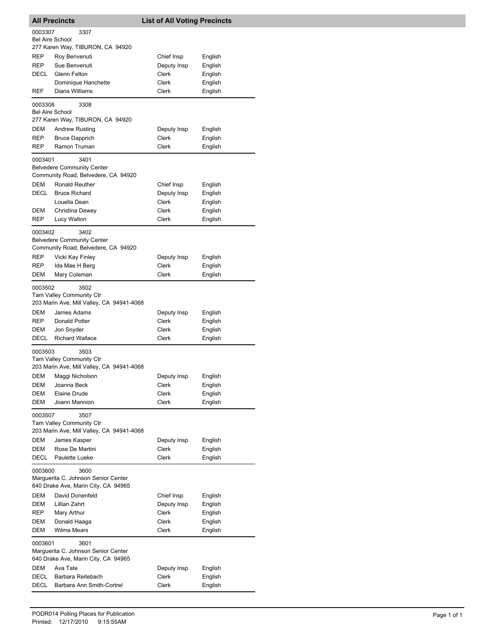|                                   | <b>All Precincts</b>                                                                         | <b>List of All Voting Precincts</b> |         |
|-----------------------------------|----------------------------------------------------------------------------------------------|-------------------------------------|---------|
| 0003307<br><b>Bel Aire School</b> | 3307                                                                                         |                                     |         |
|                                   | 277 Karen Way, TIBURON, CA 94920                                                             |                                     |         |
| REP                               | Roy Benvenuti                                                                                | Chief Insp                          | English |
| REP                               | Sue Benvenuti                                                                                | Deputy Insp                         | English |
| DECL                              | Glenn Felton                                                                                 | Clerk                               | English |
|                                   | Dominique Hanchette                                                                          | Clerk                               | English |
| REF                               | Diana Williams                                                                               | Clerk                               | English |
| 0003308<br><b>Bel Aire School</b> | 3308<br>277 Karen Way, TIBURON, CA 94920                                                     |                                     |         |
| <b>DEM</b>                        | <b>Andrew Rusting</b>                                                                        | Deputy Insp                         | English |
| REP                               | <b>Bruce Dapprich</b>                                                                        | Clerk                               | English |
| REP                               | Ramon Truman                                                                                 | Clerk                               | English |
| 0003401                           | 3401<br><b>Belvedere Community Center</b><br>Community Road, Belvedere, CA 94920             |                                     |         |
| DEM                               | <b>Ronald Reuther</b>                                                                        | Chief Insp                          | English |
| <b>DECL</b>                       | <b>Bruce Richard</b>                                                                         | Deputy Insp                         | English |
|                                   | Louella Dean                                                                                 | Clerk                               | English |
| DEM                               | Christina Dewey                                                                              | Clerk                               | English |
| REP                               | Lucy Walton                                                                                  | Clerk                               | English |
| 0003402                           | 3402<br><b>Belvedere Community Center</b><br>Community Road, Belvedere, CA 94920             |                                     |         |
| REP                               | Vicki Kay Finley                                                                             | Deputy Insp                         | English |
| REP                               | Ida Mae H Berg                                                                               | Clerk                               | English |
| DEM                               | Mary Coleman                                                                                 | Clerk                               | English |
| 0003502<br>DEM                    | 3502<br>Tam Valley Community Ctr<br>203 Marin Ave, Mill Valley, CA 94941-4068<br>James Adams | Deputy Insp                         | English |
| REP                               | Donald Potter                                                                                | Clerk                               | English |
| DEM                               | Jon Snyder                                                                                   | Clerk                               | English |
| DECL                              | <b>Richard Wallace</b>                                                                       | <b>Clerk</b>                        | English |
| 0003503                           | 3503<br>Tam Valley Community Ctr<br>203 Marin Ave, Mill Valley, CA 94941-4068                |                                     |         |
|                                   | DEM Maggi Nicholson                                                                          | Deputy Insp                         | English |
| DEM                               | Joanna Beck                                                                                  | Clerk                               | English |
| DEM                               | Elaine Drude                                                                                 | Clerk                               | English |
| DEM                               | Joann Mannion                                                                                | Clerk                               | English |
| 0003507                           | 3507<br>Tam Valley Community Ctr<br>203 Marin Ave, Mill Valley, CA 94941-4068                |                                     |         |
| DEM                               | James Kasper                                                                                 | Deputy Insp                         | English |
| DEM                               | Rose De Martini                                                                              | <b>Clerk</b>                        | English |
| DECL                              | Paulette Lueke                                                                               | Clerk                               | English |
| 0003600                           | 3600<br>Marguerita C. Johnson Senior Center<br>640 Drake Ave, Marin City, CA 94965           |                                     |         |
| DEM                               | David Donenfeld                                                                              | Chief Insp                          | English |
| DEM                               | Lillian Zahrt                                                                                | Deputy Insp                         | English |
| REP                               | Mary Arthur                                                                                  | Clerk                               | English |
| DEM                               | Donald Haaga                                                                                 | Clerk                               | English |
| <b>DEM</b>                        | <b>Wilma Mears</b>                                                                           | Clerk                               | English |
| 0003601                           | 3601<br>Marguerita C. Johnson Senior Center<br>640 Drake Ave, Marin City, CA 94965           |                                     |         |
| DEM                               | Ava Tate                                                                                     | Deputy Insp                         | English |
| DECL                              | Barbara Reitebach                                                                            | Clerk                               | English |
| DECL                              | Barbara Ann Smith-Cortrel                                                                    | Clerk                               | English |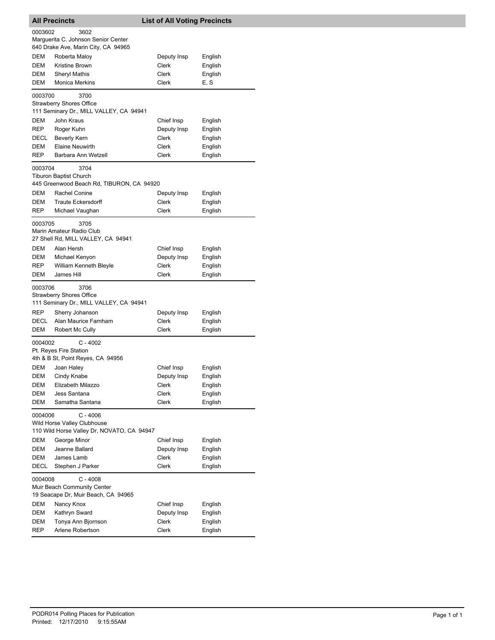| <b>All Precincts</b> |                                                                                         | <b>List of All Voting Precincts</b> |         |
|----------------------|-----------------------------------------------------------------------------------------|-------------------------------------|---------|
| 0003602              | 3602<br>Marguerita C. Johnson Senior Center<br>640 Drake Ave, Marin City, CA 94965      |                                     |         |
| <b>DEM</b>           | Roberta Maloy                                                                           | Deputy Insp                         | English |
| <b>DEM</b>           | Kristine Brown                                                                          | Clerk                               | English |
| DEM                  | <b>Sheryl Mathis</b>                                                                    | Clerk                               | English |
| DEM                  | <b>Monica Merkins</b>                                                                   | Clerk                               | E, S    |
| 0003700              | 3700<br>Strawberry Shores Office<br>111 Seminary Dr., MILL VALLEY, CA 94941             |                                     |         |
| DEM                  | John Kraus                                                                              | Chief Insp                          | English |
| <b>REP</b>           | Roger Kuhn                                                                              | Deputy Insp                         | English |
| DECL                 | <b>Beverly Kern</b>                                                                     | Clerk                               | English |
| DEM                  | <b>Elaine Neuwirth</b>                                                                  | Clerk                               | English |
| REP                  | Barbara Ann Wetzell                                                                     | Clerk                               | English |
| 0003704              | 3704<br><b>Tiburon Baptist Church</b><br>445 Greenwood Beach Rd, TIBURON, CA 94920      |                                     |         |
| DEM                  | Rachel Conine                                                                           | Deputy Insp                         | English |
| DEM                  | <b>Traute Eckersdorff</b>                                                               | Clerk                               | English |
| REP                  | Michael Vaughan                                                                         | Clerk                               | English |
| 0003705              | 3705<br>Marin Amateur Radio Club<br>27 Shell Rd, MILL VALLEY, CA 94941                  |                                     |         |
| <b>DEM</b>           | Alan Hersh                                                                              | Chief Insp                          | English |
| DEM                  | Michael Kenyon                                                                          | Deputy Insp                         | English |
| REP                  | <b>William Kenneth Bleyle</b>                                                           | Clerk                               | English |
| DEM                  | James Hill                                                                              | Clerk                               | English |
| 0003706              | 3706<br><b>Strawberry Shores Office</b><br>111 Seminary Dr., MILL VALLEY, CA 94941      |                                     |         |
| REP                  | Sherry Johanson                                                                         | Deputy Insp                         | English |
| DECL                 | Alan Maurice Farnham                                                                    | Clerk                               | English |
| DEM                  | Robert Mc Cully                                                                         | Clerk                               | English |
| 0004002              | $C - 4002$<br>Pt. Reyes Fire Station<br>4th & B St, Point Reyes, CA 94956               |                                     |         |
| DEM                  | Joan Haley                                                                              | Chief Insp                          | English |
|                      | DEM Cindy Knabe                                                                         | Deputy Insp                         | English |
| DEM                  | Elizabeth Milazzo                                                                       | Clerk                               | English |
| DEM                  | Jess Santana                                                                            | Clerk                               | English |
| <b>DEM</b>           | Samatha Santana                                                                         | Clerk                               | English |
| 0004006              | $C - 4006$<br>Wild Horse Valley Clubhouse<br>110 Wild Horse Valley Dr, NOVATO, CA 94947 |                                     |         |
| DEM                  | George Minor                                                                            | Chief Insp                          | English |
| DEM                  | Jeanne Ballard                                                                          | Deputy Insp                         | English |
| DEM                  | James Lamb                                                                              | Clerk                               | English |
| DECL                 | Stephen J Parker                                                                        | Clerk                               | English |
| 0004008              | $C - 4008$<br>Muir Beach Community Center<br>19 Seacape Dr, Muir Beach, CA 94965        |                                     |         |
| DEM                  | Nancy Knox                                                                              | Chief Insp                          | English |
| DEM                  | Kathryn Sward                                                                           | Deputy Insp                         | English |
| DEM                  | Tonya Ann Bjornson                                                                      | Clerk                               | English |
| REP                  | Arlene Robertson                                                                        | Clerk                               | English |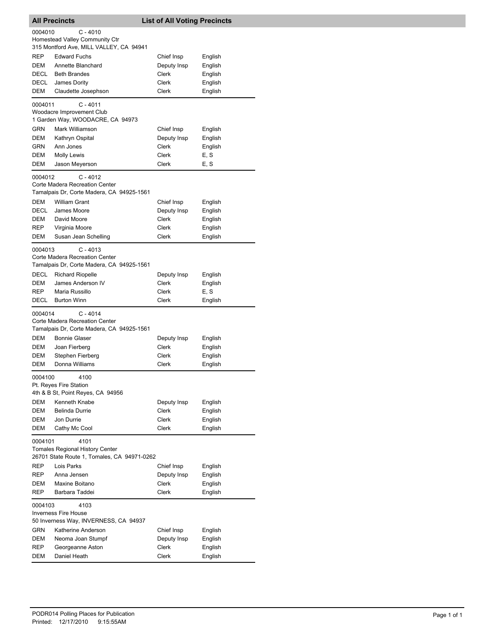| <b>All Precincts</b><br><b>List of All Voting Precincts</b>                                              |                                                                                                                                                             |                               |                            |  |
|----------------------------------------------------------------------------------------------------------|-------------------------------------------------------------------------------------------------------------------------------------------------------------|-------------------------------|----------------------------|--|
| $C - 4010$<br>0004010<br>Homestead Valley Community Ctr<br>315 Montford Ave, MILL VALLEY, CA 94941       |                                                                                                                                                             |                               |                            |  |
| <b>REP</b>                                                                                               | <b>Edward Fuchs</b>                                                                                                                                         | Chief Insp                    | English                    |  |
| DEM                                                                                                      | Annette Blanchard                                                                                                                                           | Deputy Insp                   | English                    |  |
| DECL                                                                                                     | <b>Beth Brandes</b>                                                                                                                                         | Clerk                         | English                    |  |
| DECL<br>DEM                                                                                              | James Dority<br>Claudette Josephson                                                                                                                         | Clerk<br>Clerk                | English<br>English         |  |
|                                                                                                          |                                                                                                                                                             |                               |                            |  |
| 0004011                                                                                                  | $C - 4011$<br>Woodacre Improvement Club<br>1 Garden Way, WOODACRE, CA 94973                                                                                 |                               |                            |  |
| GRN                                                                                                      | Mark Williamson                                                                                                                                             | Chief Insp                    | English                    |  |
| DEM                                                                                                      | Kathryn Ospital                                                                                                                                             | Deputy Insp                   | English                    |  |
| GRN                                                                                                      | Ann Jones                                                                                                                                                   | Clerk                         | English                    |  |
| DEM                                                                                                      | Molly Lewis                                                                                                                                                 | Clerk                         | E, S                       |  |
| DEM                                                                                                      | Jason Meyerson                                                                                                                                              | Clerk                         | E. S                       |  |
| 0004012                                                                                                  | $C - 4012$<br>Corte Madera Recreation Center<br>Tamalpais Dr, Corte Madera, CA 94925-1561                                                                   |                               |                            |  |
| <b>DEM</b>                                                                                               | <b>William Grant</b>                                                                                                                                        | Chief Insp                    | English                    |  |
| DECL                                                                                                     | James Moore                                                                                                                                                 | Deputy Insp                   | English                    |  |
| DEM<br><b>REP</b>                                                                                        | David Moore<br>Virginia Moore                                                                                                                               | Clerk<br>Clerk                | English<br>English         |  |
| DEM                                                                                                      | Susan Jean Schelling                                                                                                                                        | Clerk                         | English                    |  |
| 0004013<br>DECL<br>DEM<br><b>REP</b>                                                                     | $C - 4013$<br>Corte Madera Recreation Center<br>Tamalpais Dr, Corte Madera, CA 94925-1561<br><b>Richard Riopelle</b><br>James Anderson IV<br>Maria Russillo | Deputy Insp<br>Clerk<br>Clerk | English<br>English<br>E. S |  |
| DECL                                                                                                     | <b>Burton Winn</b>                                                                                                                                          | Clerk                         | English                    |  |
| 0004014                                                                                                  | $C - 4014$<br>Corte Madera Recreation Center<br>Tamalpais Dr, Corte Madera, CA 94925-1561                                                                   |                               |                            |  |
| DEM                                                                                                      | <b>Bonnie Glaser</b>                                                                                                                                        | Deputy Insp                   | English                    |  |
| DEM                                                                                                      | Joan Fierberg                                                                                                                                               | Clerk                         | English                    |  |
| DEM<br>DEM                                                                                               | Stephen Fierberg<br>Donna Williams                                                                                                                          | Clerk<br>Clerk                | English<br>English         |  |
| 0004100                                                                                                  | 4100<br>Pt. Reyes Fire Station                                                                                                                              |                               |                            |  |
|                                                                                                          | 4th & B St, Point Reves, CA 94956                                                                                                                           |                               |                            |  |
| DEM<br>DEM                                                                                               | Kenneth Knabe<br>Belinda Durrie                                                                                                                             | Deputy Insp<br>Clerk          | English<br>English         |  |
| DEM                                                                                                      | Jon Durrie                                                                                                                                                  | Clerk                         | English                    |  |
| DEM                                                                                                      | Cathy Mc Cool                                                                                                                                               | Clerk                         | English                    |  |
| 4101<br>0004101<br><b>Tomales Regional History Center</b><br>26701 State Route 1, Tomales, CA 94971-0262 |                                                                                                                                                             |                               |                            |  |
| <b>REP</b>                                                                                               | Lois Parks                                                                                                                                                  | Chief Insp                    | English                    |  |
| <b>REP</b>                                                                                               | Anna Jensen                                                                                                                                                 | Deputy Insp                   | English                    |  |
| DEM<br>REP                                                                                               | Maxine Boitano<br>Barbara Taddei                                                                                                                            | Clerk<br>Clerk                | English<br>English         |  |
| 0004103                                                                                                  | 4103                                                                                                                                                        |                               |                            |  |
|                                                                                                          | <b>Inverness Fire House</b><br>50 Inverness Way, INVERNESS, CA 94937                                                                                        |                               |                            |  |
| <b>GRN</b>                                                                                               | Katherine Anderson                                                                                                                                          | Chief Insp                    | English                    |  |
| DEM                                                                                                      | Neoma Joan Stumpf                                                                                                                                           | Deputy Insp                   | English                    |  |
| REP                                                                                                      | Georgeanne Aston                                                                                                                                            | Clerk                         | English                    |  |
| DEM                                                                                                      | Daniel Heath                                                                                                                                                | Clerk                         | English                    |  |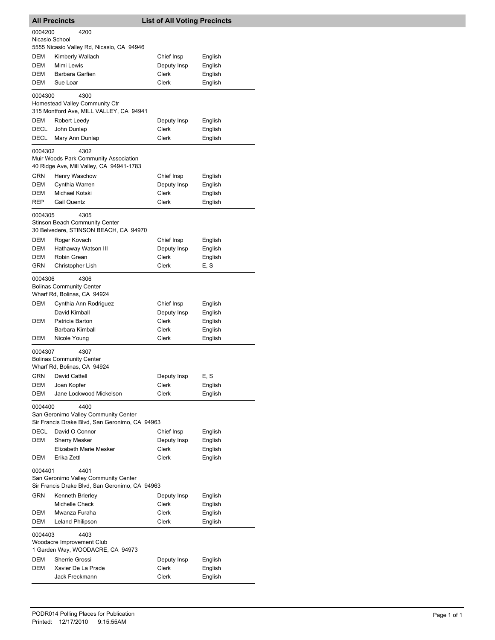|                           | <b>All Precincts</b>                                                                           | <b>List of All Voting Precincts</b> |         |
|---------------------------|------------------------------------------------------------------------------------------------|-------------------------------------|---------|
| 0004200<br>Nicasio School | 4200                                                                                           |                                     |         |
|                           | 5555 Nicasio Valley Rd, Nicasio, CA 94946                                                      |                                     |         |
| DEM                       | Kimberly Wallach                                                                               | Chief Insp                          | English |
| DEM                       | Mimi Lewis                                                                                     | Deputy Insp                         | English |
| DEM                       | Barbara Garfien                                                                                | Clerk                               | English |
| DEM                       | Sue Loar                                                                                       | Clerk                               | English |
| 0004300                   | 4300<br>Homestead Valley Community Ctr<br>315 Montford Ave, MILL VALLEY, CA 94941              |                                     |         |
| DEM                       | Robert Leedy                                                                                   | Deputy Insp                         | English |
| DECL                      | John Dunlap                                                                                    | Clerk                               | English |
| DECL                      | Mary Ann Dunlap                                                                                | Clerk                               | English |
| 0004302                   | 4302<br>Muir Woods Park Community Association<br>40 Ridge Ave, Mill Valley, CA 94941-1783      |                                     |         |
| GRN                       | Henry Waschow                                                                                  | Chief Insp                          | English |
| DEM                       | Cynthia Warren                                                                                 | Deputy Insp                         | English |
| DEM                       | Michael Kotski                                                                                 | Clerk                               | English |
| REP                       | <b>Gail Quentz</b>                                                                             | Clerk                               | English |
| 0004305                   | 4305<br><b>Stinson Beach Community Center</b><br>30 Belvedere, STINSON BEACH, CA 94970         |                                     |         |
| DEM                       | Roger Kovach                                                                                   | Chief Insp                          | English |
| DEM                       | Hathaway Watson III                                                                            | Deputy Insp                         | English |
| <b>DEM</b>                | Robin Grean                                                                                    | Clerk                               | English |
| GRN                       | Christopher Lish                                                                               | Clerk                               | E, S    |
| 0004306                   | 4306<br><b>Bolinas Community Center</b><br>Wharf Rd, Bolinas, CA 94924                         |                                     |         |
| DEM                       | Cynthia Ann Rodriguez                                                                          | Chief Insp                          | English |
|                           | David Kimball                                                                                  | Deputy Insp                         | English |
| DEM                       | Patricia Barton                                                                                | Clerk                               | English |
|                           | Barbara Kimball                                                                                | Clerk                               | English |
| DEM                       | Nicole Young                                                                                   | Clerk                               | English |
| 0004307                   | 4307<br><b>Bolinas Community Center</b><br>Wharf Rd, Bolinas, CA 94924                         |                                     |         |
| GRN                       | David Cattell                                                                                  | Deputy Insp                         | E, S    |
| DEM                       | Joan Kopfer                                                                                    | Clerk                               | English |
| DEM                       | Jane Lockwood Mickelson                                                                        | Clerk                               | English |
| 0004400                   | 4400<br>San Geronimo Valley Community Center<br>Sir Francis Drake Blvd, San Geronimo, CA 94963 |                                     |         |
| DECL                      | David O Connor                                                                                 | Chief Insp                          | English |
| DEM                       | <b>Sherry Mesker</b>                                                                           | Deputy Insp                         | English |
|                           | Elizabeth Marie Mesker                                                                         | Clerk                               | English |
| DEM                       | Erika Zettl                                                                                    | Clerk                               | English |
| 0004401                   | 4401<br>San Geronimo Valley Community Center<br>Sir Francis Drake Blvd, San Geronimo, CA 94963 |                                     |         |
| GRN                       | Kenneth Brierley                                                                               | Deputy Insp                         | English |
|                           | Michelle Check                                                                                 | Clerk                               | English |
| DEM                       | Mwanza Furaha                                                                                  | Clerk                               | English |
| DEM                       | Leland Philipson                                                                               | Clerk                               | English |
| 0004403                   | 4403<br>Woodacre Improvement Club<br>1 Garden Way, WOODACRE, CA 94973                          |                                     |         |
| DEM                       | Sherrie Grossi                                                                                 | Deputy Insp                         | English |
| DEM                       | Xavier De La Prade                                                                             | Clerk                               | English |
|                           | Jack Freckmann                                                                                 | Clerk                               | English |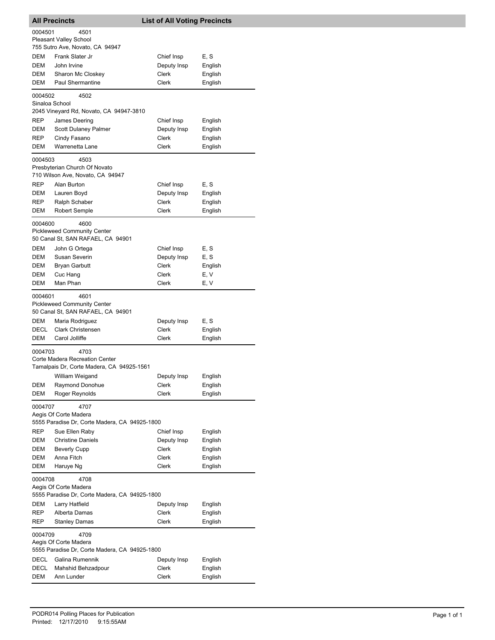|                | <b>All Precincts</b>                                                                | <b>List of All Voting Precincts</b> |                    |  |
|----------------|-------------------------------------------------------------------------------------|-------------------------------------|--------------------|--|
| 0004501        | 4501<br><b>Pleasant Valley School</b><br>755 Sutro Ave, Novato, CA 94947            |                                     |                    |  |
| DEM            | Frank Slater Jr                                                                     | Chief Insp                          | E, S               |  |
| DEM            | John Irvine                                                                         | Deputy Insp                         | English            |  |
| DEM            | Sharon Mc Closkey                                                                   | Clerk                               | English            |  |
| DEM            | <b>Paul Shermantine</b>                                                             | Clerk                               | English            |  |
| 0004502        | 4502                                                                                |                                     |                    |  |
| Sinaloa School | 2045 Vineyard Rd, Novato, CA 94947-3810                                             |                                     |                    |  |
| REP            | James Deering                                                                       | Chief Insp                          | English            |  |
| DEM            | Scott Dulaney Palmer                                                                | Deputy Insp                         | English            |  |
| REP            | Cindy Fasano                                                                        | Clerk                               | English            |  |
| DEM            | Warrenetta Lane                                                                     | Clerk                               | English            |  |
| 0004503        | 4503<br>Presbyterian Church Of Novato<br>710 Wilson Ave, Novato, CA 94947           |                                     |                    |  |
| REP            | Alan Burton                                                                         |                                     | E, S               |  |
| DEM            | Lauren Boyd                                                                         | Chief Insp<br>Deputy Insp           |                    |  |
| REP            | Ralph Schaber                                                                       | Clerk                               | English<br>English |  |
| <b>DEM</b>     | <b>Robert Semple</b>                                                                | Clerk                               | English            |  |
| 0004600        | 4600                                                                                |                                     |                    |  |
|                | <b>Pickleweed Community Center</b><br>50 Canal St, SAN RAFAEL, CA 94901             |                                     |                    |  |
| <b>DEM</b>     | John G Ortega                                                                       | Chief Insp                          | E, S               |  |
| DEM            | Susan Severin                                                                       | Deputy Insp                         | E, S               |  |
| DEM            | Bryan Garbutt                                                                       | Clerk                               | English            |  |
| DEM            | Cuc Hang                                                                            | Clerk                               | E, V               |  |
| DEM            | Man Phan                                                                            | Clerk                               | E, V               |  |
| 0004601        | 4601<br><b>Pickleweed Community Center</b><br>50 Canal St, SAN RAFAEL, CA 94901     |                                     |                    |  |
| DEM            | Maria Rodriguez                                                                     | Deputy Insp                         | E, S               |  |
| DECL           | <b>Clark Christensen</b>                                                            | Clerk                               | English            |  |
| DEM            | Carol Jolliffe                                                                      | Clerk                               | English            |  |
| 0004703        | 4703<br>Corte Madera Recreation Center<br>Tamalpais Dr, Corte Madera, CA 94925-1561 |                                     |                    |  |
|                | William Weigand                                                                     | Deputy Insp                         | English            |  |
| DEM            | Raymond Donohue                                                                     | Clerk                               | English            |  |
| <b>DEM</b>     | Roger Reynolds                                                                      | Clerk                               | English            |  |
| 0004707        | 4707<br>Aegis Of Corte Madera                                                       |                                     |                    |  |
|                | 5555 Paradise Dr, Corte Madera, CA 94925-1800                                       |                                     |                    |  |
| REP            | Sue Ellen Raby                                                                      | Chief Insp                          | English            |  |
| DEM            | <b>Christine Daniels</b>                                                            | Deputy Insp                         | English            |  |
| DEM            | <b>Beverly Cupp</b>                                                                 | Clerk                               | English            |  |
| DEM            | Anna Fitch                                                                          | Clerk                               | English            |  |
| DEM            | Haruye Ng                                                                           | Clerk                               | English            |  |
| 0004708        | 4708<br>Aegis Of Corte Madera                                                       |                                     |                    |  |
|                | 5555 Paradise Dr, Corte Madera, CA 94925-1800                                       |                                     |                    |  |
| DEM            | Larry Hatfield                                                                      | Deputy Insp                         | English            |  |
| REP            | Alberta Damas                                                                       | Clerk                               | English            |  |
| REP            | <b>Stanley Damas</b>                                                                | Clerk                               | English            |  |
| 0004709        | 4709<br>Aegis Of Corte Madera<br>5555 Paradise Dr, Corte Madera, CA 94925-1800      |                                     |                    |  |
| DECL           | Galina Rumennik                                                                     | Deputy Insp                         | English            |  |
| DECL           | Mahshid Behzadpour                                                                  | Clerk                               | English            |  |
| DEM            | Ann Lunder                                                                          | Clerk                               | English            |  |
|                |                                                                                     |                                     |                    |  |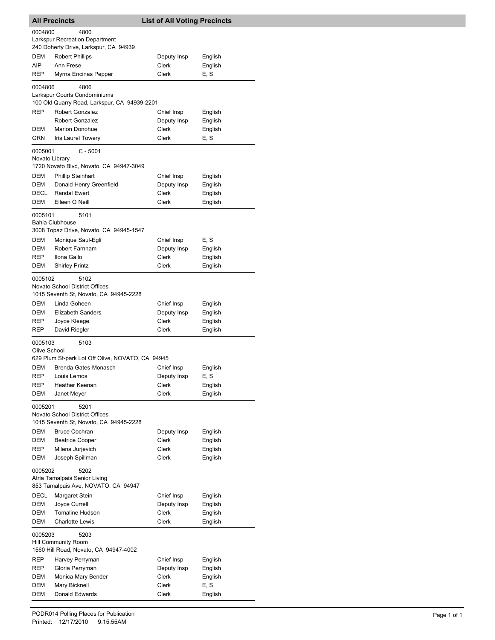| 0004800<br>4800<br>Larkspur Recreation Department<br>240 Doherty Drive, Larkspur, CA 94939<br>DEM<br><b>Robert Phillips</b><br>Deputy Insp<br>English<br>AIP<br>Ann Frese<br>Clerk<br>English<br>Clerk<br>E, S<br>REP<br>Myrna Encinas Pepper<br>4806<br>0004806<br>Larkspur Courts Condominiums<br>100 Old Quarry Road, Larkspur, CA 94939-2201<br><b>REP</b><br>Robert Gonzalez<br>Chief Insp<br>English<br><b>Robert Gonzalez</b><br>Deputy Insp<br>English<br><b>Marion Donohue</b><br>Clerk<br>English<br>DEM<br>GRN<br>Iris Laurel Towery<br>Clerk<br>E, S<br>$C - 5001$<br>0005001<br>Novato Library<br>1720 Novato Blvd, Novato, CA 94947-3049<br>DEM<br><b>Phillip Steinhart</b><br>Chief Insp<br>English<br>DEM<br>Donald Henry Greenfield<br>Deputy Insp<br>English<br>DECL<br><b>Randal Ewert</b><br>Clerk<br>English<br>DEM<br>Eileen O Neill<br>Clerk<br>English<br>5101<br>0005101<br><b>Bahia Clubhouse</b><br>3008 Topaz Drive, Novato, CA 94945-1547<br>DEM<br>Chief Insp<br>Monique Saul-Egli<br>E, S<br>DEM<br>Robert Farnham<br>Deputy Insp<br>English<br>REP<br>Ilona Gallo<br>Clerk<br>English<br>DEM<br><b>Shirley Printz</b><br>Clerk<br>English<br>5102<br>0005102<br>Novato School District Offices<br>1015 Seventh St, Novato, CA 94945-2228<br>DEM<br>Linda Goheen<br>Chief Insp<br>English<br><b>Elizabeth Sanders</b><br>Deputy Insp<br>DEM<br>English<br>Clerk<br>English<br>REP<br>Joyce Kleege<br>REP<br>Clerk<br>David Riegler<br>English<br>5103<br>0005103<br>Olive School<br>629 Plum St-park Lot Off Olive, NOVATO, CA 94945<br>Brenda Gates-Monasch<br>Chief Insp<br>English<br>DEM<br><b>REP</b><br>Louis Lemos<br>Deputy Insp<br>E, S<br>REP<br>Heather Keenan<br>Clerk<br>English<br>Clerk<br>DEM<br>Janet Meyer<br>English<br>5201<br>0005201<br>Novato School District Offices<br>1015 Seventh St, Novato, CA 94945-2228<br>DEM<br><b>Bruce Cochran</b><br>Deputy Insp<br>English<br>DEM<br><b>Beatrice Cooper</b><br>Clerk<br>English<br>REP<br>Milena Jurjevich<br>Clerk<br>English<br>DEM<br>Joseph Spillman<br>Clerk<br>English<br>0005202<br>5202<br>Atria Tamalpais Senior Living<br>853 Tamalpais Ave, NOVATO, CA 94947<br>DECL<br>Margaret Stein<br>Chief Insp<br>English<br>DEM<br>Joyce Currell<br>Deputy Insp<br>English<br>DEM<br>Tomaline Hudson<br>Clerk<br>English<br>DEM<br><b>Charlotte Lewis</b><br>Clerk<br>English<br>0005203<br>5203<br><b>Hill Community Room</b><br>1560 Hill Road, Novato, CA 94947-4002<br>REP<br>Chief Insp<br>Harvey Perryman<br>English<br>REP<br>Deputy Insp<br>English<br>Gloria Perryman<br>DEM<br>Monica Mary Bender<br>Clerk<br>English<br>E, S<br>DEM<br>Mary Bicknell<br>Clerk | <b>All Precincts</b> |                | <b>List of All Voting Precincts</b> |         |  |
|--------------------------------------------------------------------------------------------------------------------------------------------------------------------------------------------------------------------------------------------------------------------------------------------------------------------------------------------------------------------------------------------------------------------------------------------------------------------------------------------------------------------------------------------------------------------------------------------------------------------------------------------------------------------------------------------------------------------------------------------------------------------------------------------------------------------------------------------------------------------------------------------------------------------------------------------------------------------------------------------------------------------------------------------------------------------------------------------------------------------------------------------------------------------------------------------------------------------------------------------------------------------------------------------------------------------------------------------------------------------------------------------------------------------------------------------------------------------------------------------------------------------------------------------------------------------------------------------------------------------------------------------------------------------------------------------------------------------------------------------------------------------------------------------------------------------------------------------------------------------------------------------------------------------------------------------------------------------------------------------------------------------------------------------------------------------------------------------------------------------------------------------------------------------------------------------------------------------------------------------------------------------------------------------------------------------------------------------------------------------------------------------------------------------------------------------------------------------------------------------------------------------------------------------------------------------------------------------------------------------------------------------------------------------------------|----------------------|----------------|-------------------------------------|---------|--|
|                                                                                                                                                                                                                                                                                                                                                                                                                                                                                                                                                                                                                                                                                                                                                                                                                                                                                                                                                                                                                                                                                                                                                                                                                                                                                                                                                                                                                                                                                                                                                                                                                                                                                                                                                                                                                                                                                                                                                                                                                                                                                                                                                                                                                                                                                                                                                                                                                                                                                                                                                                                                                                                                                |                      |                |                                     |         |  |
|                                                                                                                                                                                                                                                                                                                                                                                                                                                                                                                                                                                                                                                                                                                                                                                                                                                                                                                                                                                                                                                                                                                                                                                                                                                                                                                                                                                                                                                                                                                                                                                                                                                                                                                                                                                                                                                                                                                                                                                                                                                                                                                                                                                                                                                                                                                                                                                                                                                                                                                                                                                                                                                                                |                      |                |                                     |         |  |
|                                                                                                                                                                                                                                                                                                                                                                                                                                                                                                                                                                                                                                                                                                                                                                                                                                                                                                                                                                                                                                                                                                                                                                                                                                                                                                                                                                                                                                                                                                                                                                                                                                                                                                                                                                                                                                                                                                                                                                                                                                                                                                                                                                                                                                                                                                                                                                                                                                                                                                                                                                                                                                                                                |                      |                |                                     |         |  |
|                                                                                                                                                                                                                                                                                                                                                                                                                                                                                                                                                                                                                                                                                                                                                                                                                                                                                                                                                                                                                                                                                                                                                                                                                                                                                                                                                                                                                                                                                                                                                                                                                                                                                                                                                                                                                                                                                                                                                                                                                                                                                                                                                                                                                                                                                                                                                                                                                                                                                                                                                                                                                                                                                |                      |                |                                     |         |  |
|                                                                                                                                                                                                                                                                                                                                                                                                                                                                                                                                                                                                                                                                                                                                                                                                                                                                                                                                                                                                                                                                                                                                                                                                                                                                                                                                                                                                                                                                                                                                                                                                                                                                                                                                                                                                                                                                                                                                                                                                                                                                                                                                                                                                                                                                                                                                                                                                                                                                                                                                                                                                                                                                                |                      |                |                                     |         |  |
|                                                                                                                                                                                                                                                                                                                                                                                                                                                                                                                                                                                                                                                                                                                                                                                                                                                                                                                                                                                                                                                                                                                                                                                                                                                                                                                                                                                                                                                                                                                                                                                                                                                                                                                                                                                                                                                                                                                                                                                                                                                                                                                                                                                                                                                                                                                                                                                                                                                                                                                                                                                                                                                                                |                      |                |                                     |         |  |
|                                                                                                                                                                                                                                                                                                                                                                                                                                                                                                                                                                                                                                                                                                                                                                                                                                                                                                                                                                                                                                                                                                                                                                                                                                                                                                                                                                                                                                                                                                                                                                                                                                                                                                                                                                                                                                                                                                                                                                                                                                                                                                                                                                                                                                                                                                                                                                                                                                                                                                                                                                                                                                                                                |                      |                |                                     |         |  |
|                                                                                                                                                                                                                                                                                                                                                                                                                                                                                                                                                                                                                                                                                                                                                                                                                                                                                                                                                                                                                                                                                                                                                                                                                                                                                                                                                                                                                                                                                                                                                                                                                                                                                                                                                                                                                                                                                                                                                                                                                                                                                                                                                                                                                                                                                                                                                                                                                                                                                                                                                                                                                                                                                |                      |                |                                     |         |  |
|                                                                                                                                                                                                                                                                                                                                                                                                                                                                                                                                                                                                                                                                                                                                                                                                                                                                                                                                                                                                                                                                                                                                                                                                                                                                                                                                                                                                                                                                                                                                                                                                                                                                                                                                                                                                                                                                                                                                                                                                                                                                                                                                                                                                                                                                                                                                                                                                                                                                                                                                                                                                                                                                                |                      |                |                                     |         |  |
|                                                                                                                                                                                                                                                                                                                                                                                                                                                                                                                                                                                                                                                                                                                                                                                                                                                                                                                                                                                                                                                                                                                                                                                                                                                                                                                                                                                                                                                                                                                                                                                                                                                                                                                                                                                                                                                                                                                                                                                                                                                                                                                                                                                                                                                                                                                                                                                                                                                                                                                                                                                                                                                                                |                      |                |                                     |         |  |
|                                                                                                                                                                                                                                                                                                                                                                                                                                                                                                                                                                                                                                                                                                                                                                                                                                                                                                                                                                                                                                                                                                                                                                                                                                                                                                                                                                                                                                                                                                                                                                                                                                                                                                                                                                                                                                                                                                                                                                                                                                                                                                                                                                                                                                                                                                                                                                                                                                                                                                                                                                                                                                                                                |                      |                |                                     |         |  |
|                                                                                                                                                                                                                                                                                                                                                                                                                                                                                                                                                                                                                                                                                                                                                                                                                                                                                                                                                                                                                                                                                                                                                                                                                                                                                                                                                                                                                                                                                                                                                                                                                                                                                                                                                                                                                                                                                                                                                                                                                                                                                                                                                                                                                                                                                                                                                                                                                                                                                                                                                                                                                                                                                |                      |                |                                     |         |  |
|                                                                                                                                                                                                                                                                                                                                                                                                                                                                                                                                                                                                                                                                                                                                                                                                                                                                                                                                                                                                                                                                                                                                                                                                                                                                                                                                                                                                                                                                                                                                                                                                                                                                                                                                                                                                                                                                                                                                                                                                                                                                                                                                                                                                                                                                                                                                                                                                                                                                                                                                                                                                                                                                                |                      |                |                                     |         |  |
|                                                                                                                                                                                                                                                                                                                                                                                                                                                                                                                                                                                                                                                                                                                                                                                                                                                                                                                                                                                                                                                                                                                                                                                                                                                                                                                                                                                                                                                                                                                                                                                                                                                                                                                                                                                                                                                                                                                                                                                                                                                                                                                                                                                                                                                                                                                                                                                                                                                                                                                                                                                                                                                                                |                      |                |                                     |         |  |
|                                                                                                                                                                                                                                                                                                                                                                                                                                                                                                                                                                                                                                                                                                                                                                                                                                                                                                                                                                                                                                                                                                                                                                                                                                                                                                                                                                                                                                                                                                                                                                                                                                                                                                                                                                                                                                                                                                                                                                                                                                                                                                                                                                                                                                                                                                                                                                                                                                                                                                                                                                                                                                                                                |                      |                |                                     |         |  |
|                                                                                                                                                                                                                                                                                                                                                                                                                                                                                                                                                                                                                                                                                                                                                                                                                                                                                                                                                                                                                                                                                                                                                                                                                                                                                                                                                                                                                                                                                                                                                                                                                                                                                                                                                                                                                                                                                                                                                                                                                                                                                                                                                                                                                                                                                                                                                                                                                                                                                                                                                                                                                                                                                |                      |                |                                     |         |  |
|                                                                                                                                                                                                                                                                                                                                                                                                                                                                                                                                                                                                                                                                                                                                                                                                                                                                                                                                                                                                                                                                                                                                                                                                                                                                                                                                                                                                                                                                                                                                                                                                                                                                                                                                                                                                                                                                                                                                                                                                                                                                                                                                                                                                                                                                                                                                                                                                                                                                                                                                                                                                                                                                                |                      |                |                                     |         |  |
|                                                                                                                                                                                                                                                                                                                                                                                                                                                                                                                                                                                                                                                                                                                                                                                                                                                                                                                                                                                                                                                                                                                                                                                                                                                                                                                                                                                                                                                                                                                                                                                                                                                                                                                                                                                                                                                                                                                                                                                                                                                                                                                                                                                                                                                                                                                                                                                                                                                                                                                                                                                                                                                                                |                      |                |                                     |         |  |
|                                                                                                                                                                                                                                                                                                                                                                                                                                                                                                                                                                                                                                                                                                                                                                                                                                                                                                                                                                                                                                                                                                                                                                                                                                                                                                                                                                                                                                                                                                                                                                                                                                                                                                                                                                                                                                                                                                                                                                                                                                                                                                                                                                                                                                                                                                                                                                                                                                                                                                                                                                                                                                                                                |                      |                |                                     |         |  |
|                                                                                                                                                                                                                                                                                                                                                                                                                                                                                                                                                                                                                                                                                                                                                                                                                                                                                                                                                                                                                                                                                                                                                                                                                                                                                                                                                                                                                                                                                                                                                                                                                                                                                                                                                                                                                                                                                                                                                                                                                                                                                                                                                                                                                                                                                                                                                                                                                                                                                                                                                                                                                                                                                |                      |                |                                     |         |  |
|                                                                                                                                                                                                                                                                                                                                                                                                                                                                                                                                                                                                                                                                                                                                                                                                                                                                                                                                                                                                                                                                                                                                                                                                                                                                                                                                                                                                                                                                                                                                                                                                                                                                                                                                                                                                                                                                                                                                                                                                                                                                                                                                                                                                                                                                                                                                                                                                                                                                                                                                                                                                                                                                                |                      |                |                                     |         |  |
|                                                                                                                                                                                                                                                                                                                                                                                                                                                                                                                                                                                                                                                                                                                                                                                                                                                                                                                                                                                                                                                                                                                                                                                                                                                                                                                                                                                                                                                                                                                                                                                                                                                                                                                                                                                                                                                                                                                                                                                                                                                                                                                                                                                                                                                                                                                                                                                                                                                                                                                                                                                                                                                                                |                      |                |                                     |         |  |
|                                                                                                                                                                                                                                                                                                                                                                                                                                                                                                                                                                                                                                                                                                                                                                                                                                                                                                                                                                                                                                                                                                                                                                                                                                                                                                                                                                                                                                                                                                                                                                                                                                                                                                                                                                                                                                                                                                                                                                                                                                                                                                                                                                                                                                                                                                                                                                                                                                                                                                                                                                                                                                                                                |                      |                |                                     |         |  |
|                                                                                                                                                                                                                                                                                                                                                                                                                                                                                                                                                                                                                                                                                                                                                                                                                                                                                                                                                                                                                                                                                                                                                                                                                                                                                                                                                                                                                                                                                                                                                                                                                                                                                                                                                                                                                                                                                                                                                                                                                                                                                                                                                                                                                                                                                                                                                                                                                                                                                                                                                                                                                                                                                |                      |                |                                     |         |  |
|                                                                                                                                                                                                                                                                                                                                                                                                                                                                                                                                                                                                                                                                                                                                                                                                                                                                                                                                                                                                                                                                                                                                                                                                                                                                                                                                                                                                                                                                                                                                                                                                                                                                                                                                                                                                                                                                                                                                                                                                                                                                                                                                                                                                                                                                                                                                                                                                                                                                                                                                                                                                                                                                                |                      |                |                                     |         |  |
|                                                                                                                                                                                                                                                                                                                                                                                                                                                                                                                                                                                                                                                                                                                                                                                                                                                                                                                                                                                                                                                                                                                                                                                                                                                                                                                                                                                                                                                                                                                                                                                                                                                                                                                                                                                                                                                                                                                                                                                                                                                                                                                                                                                                                                                                                                                                                                                                                                                                                                                                                                                                                                                                                |                      |                |                                     |         |  |
|                                                                                                                                                                                                                                                                                                                                                                                                                                                                                                                                                                                                                                                                                                                                                                                                                                                                                                                                                                                                                                                                                                                                                                                                                                                                                                                                                                                                                                                                                                                                                                                                                                                                                                                                                                                                                                                                                                                                                                                                                                                                                                                                                                                                                                                                                                                                                                                                                                                                                                                                                                                                                                                                                |                      |                |                                     |         |  |
|                                                                                                                                                                                                                                                                                                                                                                                                                                                                                                                                                                                                                                                                                                                                                                                                                                                                                                                                                                                                                                                                                                                                                                                                                                                                                                                                                                                                                                                                                                                                                                                                                                                                                                                                                                                                                                                                                                                                                                                                                                                                                                                                                                                                                                                                                                                                                                                                                                                                                                                                                                                                                                                                                |                      |                |                                     |         |  |
|                                                                                                                                                                                                                                                                                                                                                                                                                                                                                                                                                                                                                                                                                                                                                                                                                                                                                                                                                                                                                                                                                                                                                                                                                                                                                                                                                                                                                                                                                                                                                                                                                                                                                                                                                                                                                                                                                                                                                                                                                                                                                                                                                                                                                                                                                                                                                                                                                                                                                                                                                                                                                                                                                |                      |                |                                     |         |  |
|                                                                                                                                                                                                                                                                                                                                                                                                                                                                                                                                                                                                                                                                                                                                                                                                                                                                                                                                                                                                                                                                                                                                                                                                                                                                                                                                                                                                                                                                                                                                                                                                                                                                                                                                                                                                                                                                                                                                                                                                                                                                                                                                                                                                                                                                                                                                                                                                                                                                                                                                                                                                                                                                                |                      |                |                                     |         |  |
|                                                                                                                                                                                                                                                                                                                                                                                                                                                                                                                                                                                                                                                                                                                                                                                                                                                                                                                                                                                                                                                                                                                                                                                                                                                                                                                                                                                                                                                                                                                                                                                                                                                                                                                                                                                                                                                                                                                                                                                                                                                                                                                                                                                                                                                                                                                                                                                                                                                                                                                                                                                                                                                                                |                      |                |                                     |         |  |
|                                                                                                                                                                                                                                                                                                                                                                                                                                                                                                                                                                                                                                                                                                                                                                                                                                                                                                                                                                                                                                                                                                                                                                                                                                                                                                                                                                                                                                                                                                                                                                                                                                                                                                                                                                                                                                                                                                                                                                                                                                                                                                                                                                                                                                                                                                                                                                                                                                                                                                                                                                                                                                                                                |                      |                |                                     |         |  |
|                                                                                                                                                                                                                                                                                                                                                                                                                                                                                                                                                                                                                                                                                                                                                                                                                                                                                                                                                                                                                                                                                                                                                                                                                                                                                                                                                                                                                                                                                                                                                                                                                                                                                                                                                                                                                                                                                                                                                                                                                                                                                                                                                                                                                                                                                                                                                                                                                                                                                                                                                                                                                                                                                |                      |                |                                     |         |  |
|                                                                                                                                                                                                                                                                                                                                                                                                                                                                                                                                                                                                                                                                                                                                                                                                                                                                                                                                                                                                                                                                                                                                                                                                                                                                                                                                                                                                                                                                                                                                                                                                                                                                                                                                                                                                                                                                                                                                                                                                                                                                                                                                                                                                                                                                                                                                                                                                                                                                                                                                                                                                                                                                                |                      |                |                                     |         |  |
|                                                                                                                                                                                                                                                                                                                                                                                                                                                                                                                                                                                                                                                                                                                                                                                                                                                                                                                                                                                                                                                                                                                                                                                                                                                                                                                                                                                                                                                                                                                                                                                                                                                                                                                                                                                                                                                                                                                                                                                                                                                                                                                                                                                                                                                                                                                                                                                                                                                                                                                                                                                                                                                                                |                      |                |                                     |         |  |
|                                                                                                                                                                                                                                                                                                                                                                                                                                                                                                                                                                                                                                                                                                                                                                                                                                                                                                                                                                                                                                                                                                                                                                                                                                                                                                                                                                                                                                                                                                                                                                                                                                                                                                                                                                                                                                                                                                                                                                                                                                                                                                                                                                                                                                                                                                                                                                                                                                                                                                                                                                                                                                                                                |                      |                |                                     |         |  |
|                                                                                                                                                                                                                                                                                                                                                                                                                                                                                                                                                                                                                                                                                                                                                                                                                                                                                                                                                                                                                                                                                                                                                                                                                                                                                                                                                                                                                                                                                                                                                                                                                                                                                                                                                                                                                                                                                                                                                                                                                                                                                                                                                                                                                                                                                                                                                                                                                                                                                                                                                                                                                                                                                |                      |                |                                     |         |  |
|                                                                                                                                                                                                                                                                                                                                                                                                                                                                                                                                                                                                                                                                                                                                                                                                                                                                                                                                                                                                                                                                                                                                                                                                                                                                                                                                                                                                                                                                                                                                                                                                                                                                                                                                                                                                                                                                                                                                                                                                                                                                                                                                                                                                                                                                                                                                                                                                                                                                                                                                                                                                                                                                                |                      |                |                                     |         |  |
|                                                                                                                                                                                                                                                                                                                                                                                                                                                                                                                                                                                                                                                                                                                                                                                                                                                                                                                                                                                                                                                                                                                                                                                                                                                                                                                                                                                                                                                                                                                                                                                                                                                                                                                                                                                                                                                                                                                                                                                                                                                                                                                                                                                                                                                                                                                                                                                                                                                                                                                                                                                                                                                                                |                      |                |                                     |         |  |
|                                                                                                                                                                                                                                                                                                                                                                                                                                                                                                                                                                                                                                                                                                                                                                                                                                                                                                                                                                                                                                                                                                                                                                                                                                                                                                                                                                                                                                                                                                                                                                                                                                                                                                                                                                                                                                                                                                                                                                                                                                                                                                                                                                                                                                                                                                                                                                                                                                                                                                                                                                                                                                                                                | DEM                  | Donald Edwards | Clerk                               | English |  |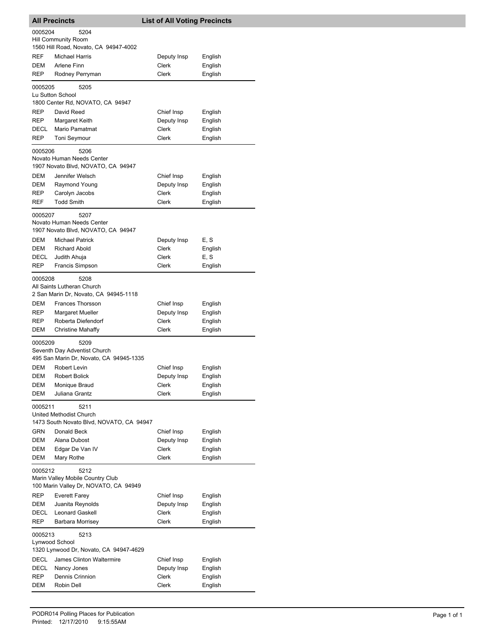| <b>All Precincts</b> |                                                                 | <b>List of All Voting Precincts</b> |                    |
|----------------------|-----------------------------------------------------------------|-------------------------------------|--------------------|
| 0005204              | 5204                                                            |                                     |                    |
|                      | <b>Hill Community Room</b>                                      |                                     |                    |
| <b>REF</b>           | 1560 Hill Road, Novato, CA 94947-4002<br><b>Michael Harris</b>  |                                     |                    |
| DEM                  | Arlene Finn                                                     | Deputy Insp<br>Clerk                | English<br>English |
| REP                  | Rodney Perryman                                                 | <b>Clerk</b>                        | English            |
|                      |                                                                 |                                     |                    |
| 0005205              | 5205<br>Lu Sutton School                                        |                                     |                    |
|                      | 1800 Center Rd, NOVATO, CA 94947                                |                                     |                    |
| <b>REP</b>           | David Reed                                                      | Chief Insp                          | English            |
| REP                  | Margaret Keith                                                  | Deputy Insp                         | English            |
| DECL                 | Mario Pamatmat                                                  | Clerk                               | English            |
| <b>REP</b>           | Toni Seymour                                                    | Clerk                               | English            |
| 0005206              | 5206                                                            |                                     |                    |
|                      | Novato Human Needs Center                                       |                                     |                    |
|                      | 1907 Novato Blvd, NOVATO, CA 94947                              |                                     |                    |
| DEM                  | Jennifer Welsch                                                 | Chief Insp                          | English            |
| DEM                  | Raymond Young                                                   | Deputy Insp<br>Clerk                | English            |
| REP<br>REF           | Carolyn Jacobs<br><b>Todd Smith</b>                             | Clerk                               | English<br>English |
|                      |                                                                 |                                     |                    |
| 0005207              | 5207                                                            |                                     |                    |
|                      | Novato Human Needs Center<br>1907 Novato Blvd, NOVATO, CA 94947 |                                     |                    |
| <b>DEM</b>           | <b>Michael Patrick</b>                                          | Deputy Insp                         | E, S               |
| DEM                  | <b>Richard Abold</b>                                            | Clerk                               | English            |
| DECL                 | Judith Ahuja                                                    | Clerk                               | E, S               |
| REP                  | Francis Simpson                                                 | Clerk                               | English            |
| 0005208              | 5208                                                            |                                     |                    |
|                      | All Saints Lutheran Church                                      |                                     |                    |
|                      | 2 San Marin Dr, Novato, CA 94945-1118                           |                                     |                    |
| DEM                  | Frances Thorsson                                                | Chief Insp                          | English            |
| REP                  | <b>Margaret Mueller</b>                                         | Deputy Insp                         | English            |
| <b>REP</b>           | Roberta Diefendorf                                              | Clerk                               | English            |
| DEM                  | <b>Christine Mahaffy</b>                                        | Clerk                               | English            |
| 0005209              | 5209                                                            |                                     |                    |
|                      | Seventh Day Adventist Church                                    |                                     |                    |
|                      | 495 San Marin Dr, Novato, CA 94945-1335                         |                                     |                    |
| DEM                  | Robert Levin                                                    | Chief Insp                          | English            |
| DEM<br>DEM           | <b>Robert Bolick</b><br>Monique Braud                           | Deputy Insp<br>Clerk                | English<br>English |
| DEM                  | Juliana Grantz                                                  | Clerk                               | English            |
|                      |                                                                 |                                     |                    |
| 0005211              | 5211<br>United Methodist Church                                 |                                     |                    |
|                      | 1473 South Novato Blvd, NOVATO, CA 94947                        |                                     |                    |
| GRN                  | Donald Beck                                                     | Chief Insp                          | English            |
| DEM                  | Alana Dubost                                                    | Deputy Insp                         | English            |
| DEM                  | Edgar De Van IV                                                 | Clerk                               | English            |
| DEM                  | Mary Rothe                                                      | Clerk                               | English            |
| 0005212              | 5212                                                            |                                     |                    |
|                      | Marin Valley Mobile Country Club                                |                                     |                    |
|                      | 100 Marin Valley Dr, NOVATO, CA 94949                           |                                     |                    |
| <b>REP</b>           | <b>Everett Farey</b>                                            | Chief Insp                          | English            |
| DEM                  | Juanita Reynolds                                                | Deputy Insp                         | English            |
| DECL                 | <b>Leonard Gaskell</b>                                          | Clerk                               | English            |
| REP                  | <b>Barbara Morrisey</b>                                         | Clerk                               | English            |
| 0005213              | 5213                                                            |                                     |                    |
|                      | Lynwood School                                                  |                                     |                    |
|                      | 1320 Lynwood Dr, Novato, CA 94947-4629                          |                                     |                    |
| DECL                 | James Clinton Waltermire                                        | Chief Insp                          | English            |
| DECL<br>REP          | Nancy Jones<br>Dennis Crinnion                                  | Deputy Insp<br>Clerk                | English            |
| DEM                  | Robin Dell                                                      | Clerk                               | English<br>English |
|                      |                                                                 |                                     |                    |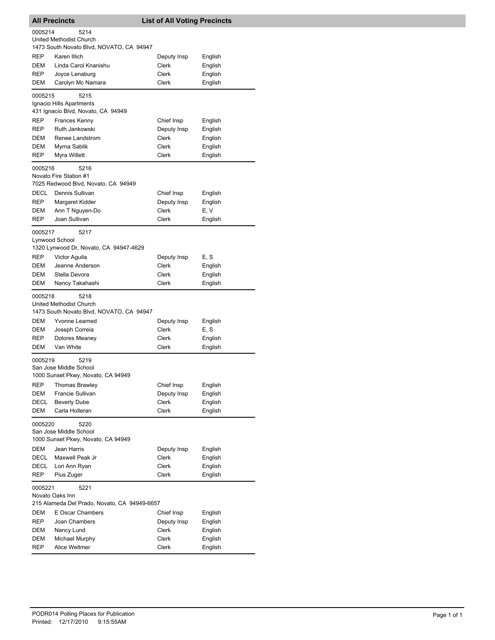|             | <b>All Precincts</b>                                         | <b>List of All Voting Precincts</b> |         |
|-------------|--------------------------------------------------------------|-------------------------------------|---------|
| 0005214     | 5214                                                         |                                     |         |
|             | United Methodist Church                                      |                                     |         |
|             | 1473 South Novato Blvd, NOVATO, CA 94947                     |                                     |         |
| REP         | Karen Illich                                                 | Deputy Insp                         | English |
| <b>DEM</b>  | Linda Carol Knanishu                                         | Clerk                               | English |
| REP         | Joyce Lenaburg                                               | Clerk                               | English |
| DEM         | Carolyn Mc Namara                                            | <b>Clerk</b>                        | English |
| 0005215     | 5215                                                         |                                     |         |
|             | Ignacio Hills Apartments                                     |                                     |         |
|             | 431 Ignacio Blvd, Novato, CA 94949                           |                                     |         |
| REP         | Frances Kenny                                                | Chief Insp                          | English |
| REP         | Ruth Jankowski                                               | Deputy Insp                         | English |
| DEM         | Renee Landstrom                                              | Clerk                               | English |
| DEM         | Myrna Sablik                                                 | Clerk                               | English |
| REP         | Myra Willett                                                 | Clerk                               | English |
|             |                                                              |                                     |         |
| 0005216     | 5216<br>Novato Fire Station #1                               |                                     |         |
|             | 7025 Redwood Blvd, Novato, CA 94949                          |                                     |         |
| <b>DECL</b> | Dennis Sullivan                                              | Chief Insp                          | English |
| REP         | Margaret Kidder                                              | Deputy Insp                         | English |
| DEM         | Ann T Nguyen-Do                                              | Clerk                               | E, V    |
| REP         | Joan Sullivan                                                | Clerk                               | English |
|             |                                                              |                                     |         |
| 0005217     | 5217                                                         |                                     |         |
|             | Lynwood School                                               |                                     |         |
|             | 1320 Lynwood Dr, Novato, CA 94947-4629                       |                                     |         |
| REP         | Victor Aguila                                                | Deputy Insp                         | E, S    |
| DEM         | Jeanne Anderson                                              | Clerk                               | English |
| DEM         | Stella Devora                                                | Clerk                               | English |
| DEM         | Nancy Takahashi                                              | Clerk                               | English |
| 0005218     | 5218                                                         |                                     |         |
|             | United Methodist Church                                      |                                     |         |
|             | 1473 South Novato Blvd, NOVATO, CA 94947                     |                                     |         |
| DEM         | Yvonne Learned                                               | Deputy Insp                         | English |
| DEM         | Joseph Correia                                               | Clerk                               | E, S    |
| REP         | Dolores Meaney                                               | Clerk                               | English |
| DEM         | Van White                                                    | Clerk                               | English |
| 0005219     | 5219                                                         |                                     |         |
|             | San Jose Middle School                                       |                                     |         |
|             | 1000 Sunset Pkwy, Novato, CA 94949                           |                                     |         |
| REP         | <b>Thomas Brawley</b>                                        | Chief Insp                          | English |
| DEM         | Francie Sullivan                                             | Deputy Insp                         | English |
| DECL        | <b>Beverly Dube</b>                                          | Clerk                               | English |
| DEM         | Carla Holleran                                               | Clerk                               | English |
|             |                                                              |                                     |         |
| 0005220     | 5220                                                         |                                     |         |
|             | San Jose Middle School<br>1000 Sunset Pkwy, Novato, CA 94949 |                                     |         |
|             |                                                              |                                     |         |
| DEM         | Jean Harris                                                  | Deputy Insp                         | English |
| <b>DECL</b> | Maxwell Peak Jr                                              | Clerk                               | English |
| DECL        | Lori Ann Ryan                                                | Clerk                               | English |
| REP         | Pius Zuger                                                   | <b>Clerk</b>                        | English |
| 0005221     | 5221                                                         |                                     |         |
|             | Novato Oaks Inn                                              |                                     |         |
|             | 215 Alameda Del Prado, Novato, CA 94949-6657                 |                                     |         |
| DEM         | E Oscar Chambers                                             | Chief Insp                          | English |
| REP         | Joan Chambers                                                | Deputy Insp                         | English |
| DEM         | Nancy Lund                                                   | Clerk                               | English |
| DEM         | Michael Murphy                                               | Clerk                               | English |
| REP         | Alice Weltmer                                                | Clerk                               | English |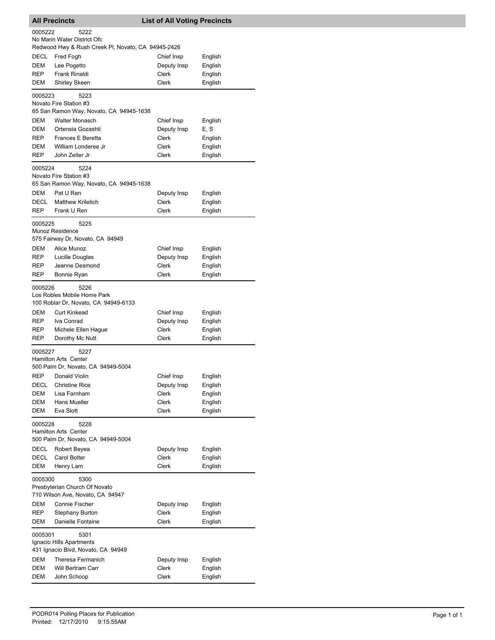| <b>All Precincts</b><br><b>List of All Voting Precincts</b>       |                                                                                           |                      |                    |  |
|-------------------------------------------------------------------|-------------------------------------------------------------------------------------------|----------------------|--------------------|--|
| 0005222                                                           | 5222<br>No Marin Water District Ofc<br>Redwood Hwy & Rush Creek PI, Novato, CA 94945-2426 |                      |                    |  |
| DECL                                                              | Fred Fogh                                                                                 | Chief Insp           | English            |  |
| DEM                                                               | Lee Pogetto                                                                               | Deputy Insp          | English            |  |
| <b>REP</b>                                                        | Frank Rinaldi                                                                             | Clerk                | English            |  |
| DEM                                                               | Shirley Skeen                                                                             | Clerk                | English            |  |
| 0005223                                                           | 5223<br>Novato Fire Station #3                                                            |                      |                    |  |
|                                                                   | 65 San Ramon Way, Novato, CA 94945-1638                                                   |                      |                    |  |
| <b>DEM</b>                                                        | <b>Walter Monasch</b>                                                                     | Chief Insp           | English            |  |
| DEM                                                               | Ortensia Gozashti                                                                         | Deputy Insp          | E, S               |  |
| <b>REP</b>                                                        | Frances E Beretta                                                                         | Clerk                | English            |  |
| DEM                                                               | William Londeree Jr                                                                       | Clerk                | English            |  |
| REP                                                               | John Zeiter Jr                                                                            | Clerk                | English            |  |
| 0005224                                                           | 5224                                                                                      |                      |                    |  |
|                                                                   | Novato Fire Station #3<br>65 San Ramon Way, Novato, CA 94945-1638                         |                      |                    |  |
| <b>DEM</b>                                                        | Pat U Ren                                                                                 | Deputy Insp          | English            |  |
| DECL                                                              | <b>Matthew Kriletich</b>                                                                  | Clerk                | English            |  |
| <b>REP</b>                                                        | Frank U Ren                                                                               | Clerk                | English            |  |
| 0005225                                                           | 5225                                                                                      |                      |                    |  |
|                                                                   | Munoz Residence<br>575 Fairway Dr, Novato, CA 94949                                       |                      |                    |  |
| DEM                                                               | Alice Munoz                                                                               | Chief Insp           | English            |  |
| REP                                                               | Lucille Douglas                                                                           | Deputy Insp          | English            |  |
| REP                                                               | Jeanne Desmond                                                                            | Clerk                | English            |  |
| <b>REP</b>                                                        | Bonnie Ryan                                                                               | Clerk                | English            |  |
| 0005226                                                           | 5226<br>Los Robles Mobile Home Park                                                       |                      |                    |  |
|                                                                   | 100 Roblar Dr, Novato, CA 94949-6133                                                      |                      |                    |  |
| DEM                                                               | Curt Kinkead                                                                              | Chief Insp           | English            |  |
| REP                                                               | Iva Conrad                                                                                | Deputy Insp          | English            |  |
| <b>REP</b>                                                        | Michele Ellen Hague                                                                       | Clerk                | English            |  |
| REP                                                               | Dorothy Mc Nutt                                                                           | Clerk                | English            |  |
| 0005227                                                           | 5227<br>Hamilton Arts Center<br>500 Palm Dr, Novato, CA 94949-5004                        |                      |                    |  |
| REP                                                               | Donald Violin                                                                             | Chief Insp           | English            |  |
| DECL                                                              | Christine Rice                                                                            | Deputy Insp          | English            |  |
| DEM                                                               | Lisa Farnham                                                                              | Clerk                | English            |  |
| DEM                                                               | Hans Mueller                                                                              | Clerk                | English            |  |
| <b>DEM</b>                                                        | Eva Slott                                                                                 | <b>Clerk</b>         | English            |  |
| 0005228                                                           | 5228<br>Hamilton Arts Center<br>500 Palm Dr, Novato, CA 94949-5004                        |                      |                    |  |
| DECL                                                              | Robert Beyea                                                                              | Deputy Insp          | English            |  |
| <b>DECL</b>                                                       | Carol Bolter                                                                              | Clerk                | English            |  |
| DEM                                                               | Henry Lam                                                                                 | <b>Clerk</b>         | English            |  |
| 0005300                                                           | 5300                                                                                      |                      |                    |  |
| Presbyterian Church Of Novato<br>710 Wilson Ave, Novato, CA 94947 |                                                                                           |                      |                    |  |
|                                                                   | Connie Fischer                                                                            |                      |                    |  |
| DEM<br>REP                                                        | <b>Stephany Burton</b>                                                                    | Deputy Insp<br>Clerk | English<br>English |  |
| DEM                                                               | Danielle Fontaine                                                                         | Clerk                | English            |  |
| 0005301<br>5301<br>Ignacio Hills Apartments                       |                                                                                           |                      |                    |  |
|                                                                   | 431 Ignacio Blvd, Novato, CA 94949                                                        |                      |                    |  |
| DEM<br>DEM                                                        | Theresa Fermanich<br>Will Bertram Carr                                                    | Deputy Insp<br>Clerk | English<br>English |  |
| DEM                                                               | John Schoop                                                                               | Clerk                | English            |  |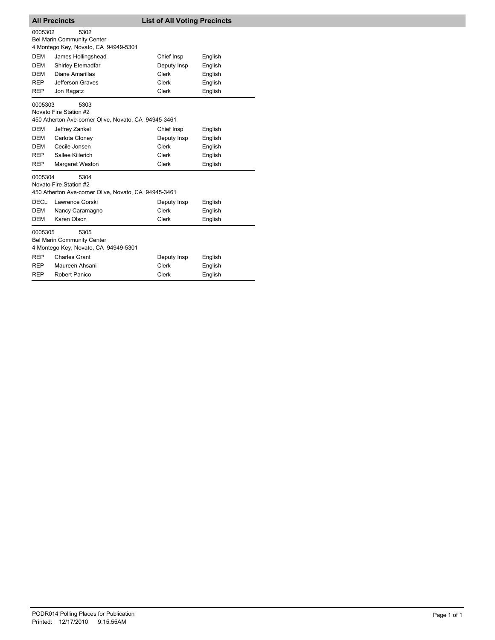| <b>All Precincts</b>                                                                              |                                                                                        | <b>List of All Voting Precincts</b> |         |
|---------------------------------------------------------------------------------------------------|----------------------------------------------------------------------------------------|-------------------------------------|---------|
| 0005302                                                                                           | 5302<br><b>Bel Marin Community Center</b><br>4 Montego Key, Novato, CA 94949-5301      |                                     |         |
| <b>DEM</b>                                                                                        | James Hollingshead                                                                     | Chief Insp                          | English |
| DEM                                                                                               | <b>Shirley Etemadfar</b>                                                               | Deputy Insp                         | English |
| DEM                                                                                               | Diane Amarillas                                                                        | Clerk                               | English |
| <b>REP</b>                                                                                        | Jefferson Graves                                                                       | Clerk                               | English |
| <b>REP</b>                                                                                        | Jon Ragatz                                                                             | <b>Clerk</b>                        | English |
| 0005303                                                                                           | 5303<br>Novato Fire Station #2<br>450 Atherton Ave-corner Olive, Novato, CA 94945-3461 |                                     |         |
| <b>DEM</b>                                                                                        | Jeffrey Zankel                                                                         | Chief Insp                          | English |
| DEM                                                                                               | Carlota Cloney                                                                         | Deputy Insp                         | English |
| <b>DEM</b>                                                                                        | Cecile Jonsen                                                                          | Clerk                               | English |
| <b>REP</b>                                                                                        | Sallee Kiilerich                                                                       | Clerk                               | English |
| <b>REP</b>                                                                                        | Margaret Weston                                                                        | <b>Clerk</b>                        | English |
| 0005304<br>5304<br>Novato Fire Station #2<br>450 Atherton Ave-corner Olive, Novato, CA 94945-3461 |                                                                                        |                                     |         |
| <b>DECL</b>                                                                                       | Lawrence Gorski                                                                        | Deputy Insp                         | English |
| DEM                                                                                               | Nancy Caramagno                                                                        | Clerk                               | English |
| <b>DEM</b>                                                                                        | Karen Olson                                                                            | <b>Clerk</b>                        | English |
| 0005305                                                                                           | 5305<br><b>Bel Marin Community Center</b><br>4 Montego Key, Novato, CA 94949-5301      |                                     |         |
| <b>REP</b>                                                                                        | <b>Charles Grant</b>                                                                   | Deputy Insp                         | English |
| <b>REP</b>                                                                                        | Maureen Ahsani                                                                         | Clerk                               | English |
| REP                                                                                               | Robert Panico                                                                          | Clerk                               | English |